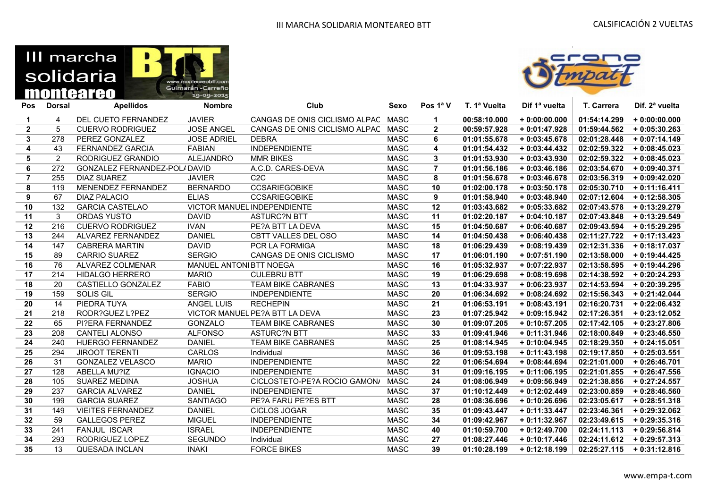# III marcha solidaria monteareo





| Pos            | <b>Dorsal</b>  | <b>Apellidos</b>             | <b>Nombre</b>          | Club                           | Sexo        | Pos 1ª V       | T. 1ª Vuelta | Dif 1ª vuelta  | T. Carrera   | Dif. 2 <sup>ª</sup> vuelta |
|----------------|----------------|------------------------------|------------------------|--------------------------------|-------------|----------------|--------------|----------------|--------------|----------------------------|
| 1              | 4              | DEL CUETO FERNANDEZ          | <b>JAVIER</b>          | CANGAS DE ONIS CICLISMO ALPAC  | <b>MASC</b> | 1              | 00:58:10.000 | $+0:00:00.000$ | 01:54:14.299 | $+0:00:00.000$             |
| $\mathbf{2}$   | 5              | <b>CUERVO RODRIGUEZ</b>      | <b>JOSE ANGEL</b>      | CANGAS DE ONIS CICLISMO ALPAC  | <b>MASC</b> | $\mathbf{2}$   | 00:59:57.928 | $+0:01:47.928$ | 01:59:44.562 | $+0:05:30.263$             |
| 3              | 278            | PEREZ GONZALEZ               | <b>JOSE ADRIEL</b>     | <b>DEBRA</b>                   | <b>MASC</b> | 6              | 01:01:55.678 | $+0:03:45.678$ | 02:01:28.448 | $+0:07:14.149$             |
| 4              | 43             | <b>FERNANDEZ GARCIA</b>      | <b>FABIAN</b>          | <b>INDEPENDIENTE</b>           | <b>MASC</b> | 4              | 01:01:54.432 | $+0:03:44.432$ | 02:02:59.322 | $+0.08:45.023$             |
| 5              | $\overline{2}$ | RODRIGUEZ GRANDIO            | <b>ALEJANDRO</b>       | <b>MMR BIKES</b>               | <b>MASC</b> | 3              | 01:01:53.930 | $+0:03:43.930$ | 02:02:59.322 | $+0.08:45.023$             |
| 6              | 272            | GONZALEZ FERNANDEZ-POL/DAVID |                        | A.C.D. CARES-DEVA              | <b>MASC</b> | $\overline{7}$ | 01:01:56.186 | $+0:03:46.186$ | 02:03:54.670 | $+0:09:40.371$             |
| $\overline{7}$ | 255            | <b>DIAZ SUAREZ</b>           | <b>JAVIER</b>          | C2C                            | <b>MASC</b> | 8              | 01:01:56.678 | $+0:03:46.678$ | 02:03:56.319 | $+0:09:42.020$             |
| 8              | 119            | MENENDEZ FERNANDEZ           | <b>BERNARDO</b>        | <b>CCSARIEGOBIKE</b>           | <b>MASC</b> | 10             | 01:02:00.178 | $+0:03:50.178$ | 02:05:30.710 | $+0:11:16.411$             |
| 9              | 67             | <b>DIAZ PALACIO</b>          | <b>ELIAS</b>           | <b>CCSARIEGOBIKE</b>           | <b>MASC</b> | 9              | 01:01:58.940 | $+0:03:48.940$ | 02:07:12.604 | $+0:12:58.305$             |
| 10             | 132            | <b>GARCIA CASTELAO</b>       |                        | VICTOR MANUEL INDEPENDIENTE    | <b>MASC</b> | 12             | 01:03:43.682 | $+0.05:33.682$ | 02:07:43.578 | $+0:13:29.279$             |
| 11             | 3              | <b>ORDAS YUSTO</b>           | <b>DAVID</b>           | <b>ASTURC?N BTT</b>            | <b>MASC</b> | 11             | 01:02:20.187 | $+0:04:10.187$ | 02:07:43.848 | $+0:13:29.549$             |
| 12             | 216            | <b>CUERVO RODRIGUEZ</b>      | <b>IVAN</b>            | PE?A BTT LA DEVA               | <b>MASC</b> | 15             | 01:04:50.687 | $+0:06:40.687$ | 02:09:43.594 | $+0:15:29.295$             |
| 13             | 244            | ALVAREZ FERNANDEZ            | <b>DANIEL</b>          | CBTT VALLES DEL OSO            | <b>MASC</b> | 14             | 01:04:50.438 | $+0:06:40.438$ | 02:11:27.722 | $+0:17:13.423$             |
| 14             | 147            | <b>CABRERA MARTIN</b>        | <b>DAVID</b>           | PCR LA FORMIGA                 | <b>MASC</b> | 18             | 01:06:29.439 | $+0:08:19.439$ | 02:12:31.336 | $+0:18:17.037$             |
| 15             | 89             | <b>CARRIO SUAREZ</b>         | <b>SERGIO</b>          | CANGAS DE ONIS CICLISMO        | <b>MASC</b> | 17             | 01:06:01.190 | $+0:07:51.190$ | 02:13:58.000 | $+0:19:44.425$             |
| 16             | 76             | ALVAREZ COLMENAR             | MANUEL ANTONIBTT NOEGA |                                | <b>MASC</b> | 16             | 01:05:32.937 | $+0:07:22.937$ | 02:13:58.595 | $+0:19:44.296$             |
| 17             | 214            | <b>HIDALGO HERRERO</b>       | <b>MARIO</b>           | <b>CULEBRU BTT</b>             | <b>MASC</b> | 19             | 01:06:29.698 | $+0.08:19.698$ | 02:14:38.592 | $+0.20:24.293$             |
| 18             | 20             | CASTIELLO GONZALEZ           | <b>FABIO</b>           | <b>TEAM BIKE CABRANES</b>      | <b>MASC</b> | 13             | 01:04:33.937 | $+0:06:23.937$ | 02:14:53.594 | $+0.20:39.295$             |
| 19             | 159            | <b>SOLIS GIL</b>             | <b>SERGIO</b>          | <b>INDEPENDIENTE</b>           | <b>MASC</b> | 20             | 01:06:34.692 | $+0.08:24.692$ | 02:15:56.343 | $+0:21:42.044$             |
| 20             | 14             | PIEDRA TUYA                  | <b>ANGEL LUIS</b>      | <b>RECHEPIN</b>                | <b>MASC</b> | 21             | 01:06:53.191 | $+0:08:43.191$ | 02:16:20.731 | $+0.22:06.432$             |
| 21             | 218            | RODR?GUEZ L?PEZ              |                        | VICTOR MANUEL PE?A BTT LA DEVA | <b>MASC</b> | 23             | 01:07:25.942 | $+0.09:15.942$ | 02:17:26.351 | $+0:23:12.052$             |
| 22             | 65             | PI?ERA FERNANDEZ             | GONZALO                | <b>TEAM BIKE CABRANES</b>      | <b>MASC</b> | 30             | 01:09:07.205 | $+0:10:57.205$ | 02:17:42.105 | $+0.23:27.806$             |
| 23             | 208            | <b>CANTELI ALONSO</b>        | <b>ALFONSO</b>         | <b>ASTURC?N BTT</b>            | <b>MASC</b> | 33             | 01:09:41.946 | $+0:11:31.946$ | 02:18:00.849 | $+0:23:46.550$             |
| 24             | 240            | <b>HUERGO FERNANDEZ</b>      | <b>DANIEL</b>          | <b>TEAM BIKE CABRANES</b>      | <b>MASC</b> | 25             | 01:08:14.945 | $+0:10:04.945$ | 02:18:29.350 | $+0:24:15.051$             |
| 25             | 294            | <b>JIROOT TERENTI</b>        | <b>CARLOS</b>          | Individual                     | <b>MASC</b> | 36             | 01:09:53.198 | $+0:11:43.198$ | 02:19:17.850 | $+0:25:03.551$             |
| 26             | 31             | <b>GONZALEZ VELASCO</b>      | <b>MARIO</b>           | <b>INDEPENDIENTE</b>           | <b>MASC</b> | 22             | 01:06:54.694 | $+0:08:44.694$ | 02:21:01.000 | $+0:26:46.701$             |
| 27             | 128            | ABELLA MU?IZ                 | <b>IGNACIO</b>         | <b>INDEPENDIENTE</b>           | <b>MASC</b> | 31             | 01:09:16.195 | $+0:11:06.195$ | 02:21:01.855 | $+0:26:47.556$             |
| 28             | 105            | <b>SUAREZ MEDINA</b>         | <b>JOSHUA</b>          | CICLOSTETO-PE?A ROCIO GAMON/   | MASC        | 24             | 01:08:06.949 | $+0.09:56.949$ | 02:21:38.856 | $+0:27:24.557$             |
| 29             | 237            | <b>GARCIA ALVAREZ</b>        | <b>DANIEL</b>          | <b>INDEPENDIENTE</b>           | <b>MASC</b> | 37             | 01:10:12.449 | $+0:12:02.449$ | 02:23:00.859 | $+0:28:46.560$             |
| 30             | 199            | <b>GARCIA SUAREZ</b>         | <b>SANTIAGO</b>        | <b>PE?A FARU PE?ES BTT</b>     | <b>MASC</b> | 28             | 01:08:36.696 | $+0:10:26.696$ | 02:23:05.617 | $+0:28:51.318$             |
| 31             | 149            | <b>VIEITES FERNANDEZ</b>     | <b>DANIEL</b>          | CICLOS JOGAR                   | <b>MASC</b> | 35             | 01:09:43.447 | $+0:11:33.447$ | 02:23:46.361 | $+0.29.32.062$             |
| 32             | 59             | <b>GALLEGOS PEREZ</b>        | <b>MIGUEL</b>          | <b>INDEPENDIENTE</b>           | <b>MASC</b> | 34             | 01:09:42.967 | $+0:11:32.967$ | 02:23:49.615 | $+0.29.35.316$             |
| 33             | 241            | <b>FANJUL ISCAR</b>          | <b>ISRAEL</b>          | <b>INDEPENDIENTE</b>           | <b>MASC</b> | 40             | 01:10:59.700 | $+0:12:49.700$ | 02:24:11.113 | $+0.29:56.814$             |
| 34             | 293            | RODRIGUEZ LOPEZ              | <b>SEGUNDO</b>         | Individual                     | <b>MASC</b> | 27             | 01:08:27.446 | $+0:10:17.446$ | 02:24:11.612 | $+0.29:57.313$             |
| 35             | 13             | <b>QUESADA INCLAN</b>        | <b>INAKI</b>           | <b>FORCE BIKES</b>             | <b>MASC</b> | 39             | 01:10:28.199 | $+0:12:18.199$ | 02:25:27.115 | $+0:31:12.816$             |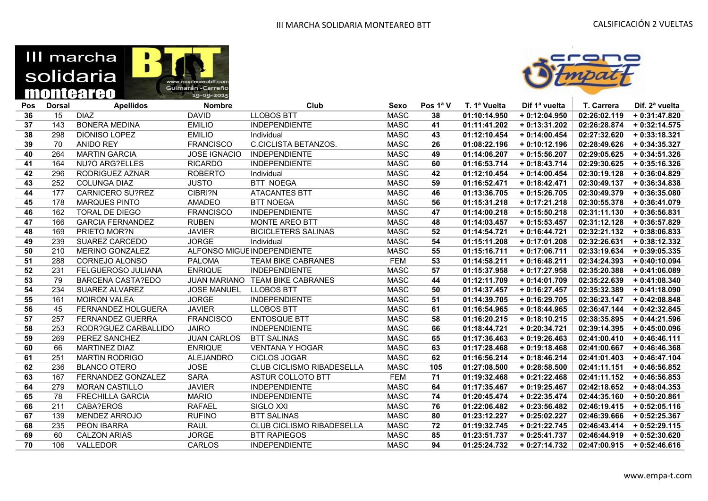



| Pos | <b>Dorsal</b> | <b>Apellidos</b>          | <b>Nombre</b>       | Club                            | <b>Sexo</b> | Pos 1ª V | T. 1ª Vuelta | Dif 1ª vuelta  | T. Carrera   | Dif. 2 <sup>a</sup> vuelta |
|-----|---------------|---------------------------|---------------------|---------------------------------|-------------|----------|--------------|----------------|--------------|----------------------------|
| 36  | 15            | <b>DIAZ</b>               | <b>DAVID</b>        | <b>LLOBOS BTT</b>               | <b>MASC</b> | 38       | 01:10:14.950 | $+0:12:04.950$ | 02:26:02.119 | $+0:31:47.820$             |
| 37  | 143           | <b>BONERA MEDINA</b>      | <b>EMILIO</b>       | <b>INDEPENDIENTE</b>            | <b>MASC</b> | 41       | 01:11:41.202 | $+0:13:31.202$ | 02:26:28.874 | $+0:32:14.575$             |
| 38  | 298           | <b>DIONISO LOPEZ</b>      | <b>EMILIO</b>       | Individual                      | <b>MASC</b> | 43       | 01:12:10.454 | $+0:14:00.454$ | 02:27:32.620 | $+0:33:18.321$             |
| 39  | 70            | <b>ANIDO REY</b>          | <b>FRANCISCO</b>    | <b>C.CICLISTA BETANZOS.</b>     | <b>MASC</b> | 26       | 01:08:22.196 | $+0:10:12.196$ | 02:28:49.626 | $+0:34:35.327$             |
| 40  | 264           | <b>MARTIN GARCIA</b>      | <b>JOSE IGNACIO</b> | <b>INDEPENDIENTE</b>            | <b>MASC</b> | 49       | 01:14:06.207 | $+0:15:56.207$ | 02:29:05.625 | $+0:34:51.326$             |
| 41  | 164           | NU?O ARG?ELLES            | <b>RICARDO</b>      | <b>INDEPENDIENTE</b>            | <b>MASC</b> | 60       | 01:16:53.714 | $+0:18:43.714$ | 02:29:30.625 | $+0:35:16.326$             |
| 42  | 296           | RODRIGUEZ AZNAR           | <b>ROBERTO</b>      | Individual                      | <b>MASC</b> | 42       | 01:12:10.454 | $+0:14:00.454$ | 02:30:19.128 | $+0.36:04.829$             |
| 43  | 252           | <b>COLUNGA DIAZ</b>       | <b>JUSTO</b>        | <b>BTT NOEGA</b>                | <b>MASC</b> | 59       | 01:16:52.471 | $+0:18:42.471$ | 02:30:49.137 | $+0:36:34.838$             |
| 44  | 177           | <b>CARNICERO SU?REZ</b>   | CIBRI?N             | <b>ATACANTES BTT</b>            | <b>MASC</b> | 46       | 01:13:36.705 | $+0:15:26.705$ | 02:30:49.379 | $+0:36:35.080$             |
| 45  | 178           | <b>MARQUES PINTO</b>      | <b>AMADEO</b>       | <b>BTT NOEGA</b>                | <b>MASC</b> | 56       | 01:15:31.218 | $+0:17:21.218$ | 02:30:55.378 | $+0:36:41.079$             |
| 46  | 162           | <b>TORAL DE DIEGO</b>     | <b>FRANCISCO</b>    | <b>INDEPENDIENTE</b>            | <b>MASC</b> | 47       | 01:14:00.218 | $+0:15:50.218$ | 02:31:11.130 | $+0:36:56.831$             |
| 47  | 166           | <b>GARCIA FERNANDEZ</b>   | <b>RUBEN</b>        | <b>MONTE AREO BTT</b>           | <b>MASC</b> | 48       | 01:14:03.457 | $+0:15:53.457$ | 02:31:12.128 | $+0:36:57.829$             |
| 48  | 169           | PRIETO MOR?N              | <b>JAVIER</b>       | <b>BICICLETERS SALINAS</b>      | <b>MASC</b> | 52       | 01:14:54.721 | $+0:16:44.721$ | 02:32:21.132 | $+0.38:06.833$             |
| 49  | 239           | SUAREZ CARCEDO            | <b>JORGE</b>        | Individual                      | <b>MASC</b> | 54       | 01:15:11.208 | $+0:17:01.208$ | 02:32:26.631 | $+0:38:12.332$             |
| 50  | 210           | MERINO GONZALEZ           |                     | ALFONSO MIGUE INDEPENDIENTE     | <b>MASC</b> | 55       | 01:15:16.711 | $+0:17:06.711$ | 02:33:19.634 | $+0.39:05.335$             |
| 51  | 288           | CORNEJO ALONSO            | <b>PALOMA</b>       | <b>TEAM BIKE CABRANES</b>       | <b>FEM</b>  | 53       | 01:14:58.211 | $+0:16:48.211$ | 02:34:24.393 | $+0:40:10.094$             |
| 52  | 231           | FELGUEROSO JULIANA        | <b>ENRIQUE</b>      | <b>INDEPENDIENTE</b>            | <b>MASC</b> | 57       | 01:15:37.958 | $+0:17:27.958$ | 02:35:20.388 | $+0:41:06.089$             |
| 53  | 79            | <b>BARCENA CASTA?EDO</b>  |                     | JUAN MARIANO TEAM BIKE CABRANES | <b>MASC</b> | 44       | 01:12:11.709 | $+0:14:01.709$ | 02:35:22.639 | $+0:41:08.340$             |
| 54  | 234           | <b>SUAREZ ALVAREZ</b>     | <b>JOSE MANUEL</b>  | <b>LLOBOS BTT</b>               | <b>MASC</b> | 50       | 01:14:37.457 | $+0:16:27.457$ | 02:35:32.389 | $+0:41:18.090$             |
| 55  | 161           | <b>MOIRON VALEA</b>       | <b>JORGE</b>        | <b>INDEPENDIENTE</b>            | <b>MASC</b> | 51       | 01:14:39.705 | $+0:16:29.705$ | 02:36:23.147 | $+0:42:08.848$             |
| 56  | 45            | <b>FERNANDEZ HOLGUERA</b> | <b>JAVIER</b>       | <b>LLOBOS BTT</b>               | <b>MASC</b> | 61       | 01:16:54.965 | $+0:18:44.965$ | 02:36:47.144 | $+0.42.32.845$             |
| 57  | 257           | <b>FERNANDEZ GUERRA</b>   | <b>FRANCISCO</b>    | <b>ENTOSQUE BTT</b>             | <b>MASC</b> | 58       | 01:16:20.215 | $+0:18:10.215$ | 02:38:35.895 | $+0:44:21.596$             |
| 58  | 253           | RODR?GUEZ CARBALLIDO      | <b>JAIRO</b>        | <b>INDEPENDIENTE</b>            | <b>MASC</b> | 66       | 01:18:44.721 | $+0:20:34.721$ | 02:39:14.395 | $+0:45:00.096$             |
| 59  | 269           | PEREZ SANCHEZ             | <b>JUAN CARLOS</b>  | <b>BTT SALINAS</b>              | <b>MASC</b> | 65       | 01:17:36.463 | $+0:19:26.463$ | 02:41:00.410 | $+0:46:46.111$             |
| 60  | 66            | <b>MARTINEZ DIAZ</b>      | <b>ENRIQUE</b>      | <b>VENTANA Y HOGAR</b>          | <b>MASC</b> | 63       | 01:17:28.468 | $+0:19:18.468$ | 02:41:00.667 | $+0:46:46.368$             |
| 61  | 251           | <b>MARTIN RODRIGO</b>     | <b>ALEJANDRO</b>    | <b>CICLOS JOGAR</b>             | <b>MASC</b> | 62       | 01:16:56.214 | $+0:18:46.214$ | 02:41:01.403 | $+0:46:47.104$             |
| 62  | 236           | <b>BLANCO OTERO</b>       | <b>JOSE</b>         | CLUB CICLISMO RIBADESELLA       | <b>MASC</b> | 105      | 01:27:08.500 | $+0.28:58.500$ | 02:41:11.151 | $+0.46:56.852$             |
| 63  | 167           | <b>FERNANDEZ GONZALEZ</b> | <b>SARA</b>         | ASTUR COLLOTO BTT               | <b>FEM</b>  | 71       | 01:19:32.468 | $+0:21:22.468$ | 02:41:11.152 | $+0:46:56.853$             |
| 64  | 279           | <b>MORAN CASTILLO</b>     | <b>JAVIER</b>       | <b>INDEPENDIENTE</b>            | <b>MASC</b> | 64       | 01:17:35.467 | $+0:19:25.467$ | 02:42:18.652 | $+0.48:04.353$             |
| 65  | 78            | <b>FRECHILLA GARCIA</b>   | <b>MARIO</b>        | <b>INDEPENDIENTE</b>            | <b>MASC</b> | 74       | 01:20:45.474 | $+0:22:35.474$ | 02:44:35.160 | $+0:50:20.861$             |
| 66  | 211           | CABA?EROS                 | <b>RAFAEL</b>       | SIGLO XXI                       | <b>MASC</b> | 76       | 01:22:06.482 | $+0:23:56.482$ | 02:46:19.415 | $+0.52:05.116$             |
| 67  | 139           | <b>MENDEZ ARROJO</b>      | <b>RUFINO</b>       | <b>BTT SALINAS</b>              | <b>MASC</b> | 80       | 01:23:12.227 | $+0.25:02.227$ | 02:46:39.666 | $+0.52:25.367$             |
| 68  | 235           | <b>PEON IBARRA</b>        | <b>RAUL</b>         | CLUB CICLISMO RIBADESELLA       | <b>MASC</b> | 72       | 01:19:32.745 | $+0:21:22.745$ | 02:46:43.414 | $+0.52:29.115$             |
| 69  | 60            | <b>CALZON ARIAS</b>       | <b>JORGE</b>        | <b>BTT RAPIEGOS</b>             | <b>MASC</b> | 85       | 01:23:51.737 | $+0:25:41.737$ | 02:46:44.919 | $+0:52:30.620$             |
| 70  | 106           | VALLEDOR                  | <b>CARLOS</b>       | <b>INDEPENDIENTE</b>            | <b>MASC</b> | 94       | 01:25:24.732 | $+0:27:14.732$ | 02:47:00.915 | $+0:52:46.616$             |
|     |               |                           |                     |                                 |             |          |              |                |              |                            |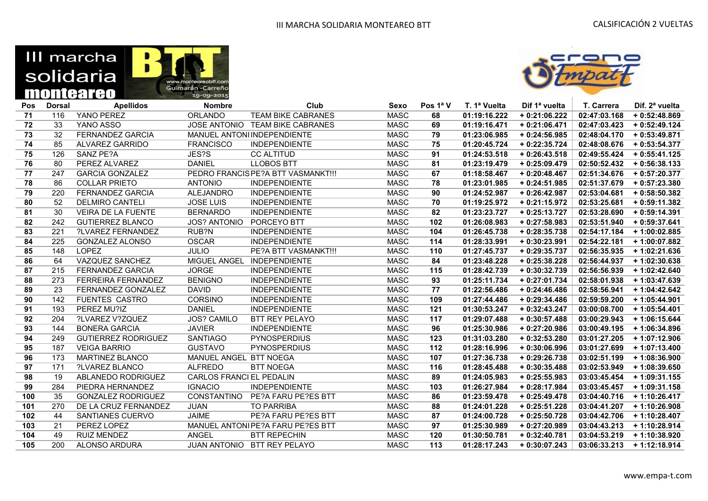

obtt.con



| Pos | <b>Dorsal</b> | <b>Apellidos</b>           | <b>Nombre</b>            | Club                               | <b>Sexo</b> | Pos 1ª V | T. 1ª Vuelta | Dif 1ª vuelta  | T. Carrera   | Dif. 2 <sup>a</sup> vuelta |
|-----|---------------|----------------------------|--------------------------|------------------------------------|-------------|----------|--------------|----------------|--------------|----------------------------|
| 71  | 116           | YANO PEREZ                 | <b>ORLANDO</b>           | <b>TEAM BIKE CABRANES</b>          | <b>MASC</b> | 68       | 01:19:16.222 | $+0:21:06.222$ | 02:47:03.168 | $+0:52:48.869$             |
| 72  | 33            | YANO ASSO                  |                          | JOSE ANTONIO TEAM BIKE CABRANES    | <b>MASC</b> | 69       | 01:19:16.471 | $+0:21:06.471$ | 02:47:03.423 | $+0.52:49.124$             |
| 73  | 32            | <b>FERNANDEZ GARCIA</b>    |                          | MANUEL ANTONI INDEPENDIENTE        | <b>MASC</b> | 79       | 01:23:06.985 | $+0:24:56.985$ | 02:48:04.170 | $+0:53:49.871$             |
| 74  | 85            | <b>ALVAREZ GARRIDO</b>     | <b>FRANCISCO</b>         | <b>INDEPENDIENTE</b>               | <b>MASC</b> | 75       | 01:20:45.724 | $+0:22:35.724$ | 02:48:08.676 | $+0:53:54.377$             |
| 75  | 126           | SANZ PE?A                  | JES?S                    | <b>CC ALTITUD</b>                  | <b>MASC</b> | 91       | 01:24:53.518 | $+0.26:43.518$ | 02:49:55.424 | $+0:55:41.125$             |
| 76  | 80            | PEREZ ALVAREZ              | <b>DANIEL</b>            | <b>LLOBOS BTT</b>                  | <b>MASC</b> | 81       | 01:23:19.479 | $+0.25:09.479$ | 02:50:52.432 | $+0.56:38.133$             |
| 77  | 247           | <b>GARCIA GONZALEZ</b>     |                          | PEDRO FRANCIS PE?A BTT VASMANKT!!! | <b>MASC</b> | 67       | 01:18:58.467 | $+0:20:48.467$ | 02:51:34.676 | $+0.57:20.377$             |
| 78  | 86            | <b>COLLAR PRIETO</b>       | <b>ANTONIO</b>           | <b>INDEPENDIENTE</b>               | <b>MASC</b> | 78       | 01:23:01.985 | $+0:24:51.985$ | 02:51:37.679 | $+0:57:23.380$             |
| 79  | 220           | <b>FERNANDEZ GARCIA</b>    | ALEJANDRO                | <b>INDEPENDIENTE</b>               | <b>MASC</b> | 90       | 01:24:52.987 | $+0:26:42.987$ | 02:53:04.681 | $+0.58:50.382$             |
| 80  | 52            | <b>DELMIRO CANTELI</b>     | <b>JOSE LUIS</b>         | <b>INDEPENDIENTE</b>               | <b>MASC</b> | 70       | 01:19:25.972 | $+0:21:15.972$ | 02:53:25.681 | $+0.59:11.382$             |
| 81  | 30            | <b>VEIRA DE LA FUENTE</b>  | <b>BERNARDO</b>          | <b>INDEPENDIENTE</b>               | <b>MASC</b> | 82       | 01:23:23.727 | $+0:25:13.727$ | 02:53:28.690 | $+0:59:14.391$             |
| 82  | 242           | <b>GUTIERREZ BLANCO</b>    | <b>JOS? ANTONIO</b>      | PORCEYO BTT                        | <b>MASC</b> | 102      | 01:26:08.983 | $+0:27:58.983$ | 02:53:51.940 | $+0:59:37.641$             |
| 83  | 221           | ?LVAREZ FERNANDEZ          | RUB?N                    | <b>INDEPENDIENTE</b>               | <b>MASC</b> | 104      | 01:26:45.738 | $+0.28:35.738$ | 02:54:17.184 | +1:00:02.885               |
| 84  | 225           | <b>GONZALEZ ALONSO</b>     | <b>OSCAR</b>             | <b>INDEPENDIENTE</b>               | <b>MASC</b> | 114      | 01:28:33.991 | $+0:30:23.991$ | 02:54:22.181 | $+1:00:07.882$             |
| 85  | 148           | <b>LOPEZ</b>               | <b>JULIO</b>             | PE?A BTT VASMANKT!!!               | <b>MASC</b> | 110      | 01:27:45.737 | $+0.29:35.737$ | 02:56:35.935 | + 1:02:21.636              |
| 86  | 64            | VAZQUEZ SANCHEZ            | MIGUEL ANGEL             | <b>INDEPENDIENTE</b>               | <b>MASC</b> | 84       | 01:23:48.228 | $+0.25:38.228$ | 02:56:44.937 | $+1:02:30.638$             |
| 87  | 215           | <b>FERNANDEZ GARCIA</b>    | <b>JORGE</b>             | <b>INDEPENDIENTE</b>               | <b>MASC</b> | 115      | 01:28:42.739 | $+0:30:32.739$ | 02:56:56.939 | $+1:02:42.640$             |
| 88  | 273           | FERREIRA FERNANDEZ         | <b>BENIGNO</b>           | <b>INDEPENDIENTE</b>               | <b>MASC</b> | 93       | 01:25:11.734 | $+0:27:01.734$ | 02:58:01.938 | $+1:03:47.639$             |
| 89  | 23            | <b>FERNANDEZ GONZALEZ</b>  | <b>DAVID</b>             | <b>INDEPENDIENTE</b>               | <b>MASC</b> | 77       | 01:22:56.486 | $+0:24:46.486$ | 02:58:56.941 | $+1:04:42.642$             |
| 90  | 142           | <b>FUENTES CASTRO</b>      | <b>CORSINO</b>           | <b>INDEPENDIENTE</b>               | <b>MASC</b> | 109      | 01:27:44.486 | $+0.29.34.486$ | 02:59:59.200 | $+1:05:44.901$             |
| 91  | 193           | PEREZ MU?IZ                | <b>DANIEL</b>            | <b>INDEPENDIENTE</b>               | <b>MASC</b> | 121      | 01:30:53.247 | $+0:32:43.247$ | 03:00:08.700 | $+1:05:54.401$             |
| 92  | 204           | ?LVAREZ V?ZQUEZ            | <b>JOS? CAMILO</b>       | <b>BTT REY PELAYO</b>              | <b>MASC</b> | 117      | 01:29:07.488 | $+0:30:57.488$ | 03:00:29.943 | $+1:06:15.644$             |
| 93  | 144           | <b>BONERA GARCIA</b>       | <b>JAVIER</b>            | <b>INDEPENDIENTE</b>               | <b>MASC</b> | 96       | 01:25:30.986 | $+0:27:20.986$ | 03:00:49.195 | $+1:06:34.896$             |
| 94  | 249           | <b>GUTIERREZ RODRIGUEZ</b> | <b>SANTIAGO</b>          | <b>PYNOSPERDIUS</b>                | <b>MASC</b> | 123      | 01:31:03.280 | $+0:32:53.280$ | 03:01:27.205 | + 1:07:12.906              |
| 95  | 187           | <b>VEIGA BARRIO</b>        | <b>GUSTAVO</b>           | <b>PYNOSPERDIUS</b>                | <b>MASC</b> | 112      | 01:28:16.996 | $+0.30:06.996$ | 03:01:27.699 | $+1:07:13.400$             |
| 96  | 173           | <b>MARTINEZ BLANCO</b>     | MANUEL ANGEL BTT NOEGA   |                                    | <b>MASC</b> | 107      | 01:27:36.738 | $+0:29:26.738$ | 03:02:51.199 | $+1:08:36.900$             |
| 97  | 171           | ?LVAREZ BLANCO             | <b>ALFREDO</b>           | <b>BTT NOEGA</b>                   | <b>MASC</b> | 116      | 01:28:45.488 | $+0:30:35.488$ | 03:02:53.949 | $+1:08:39.650$             |
| 98  | 19            | ABLANEDO RODRIGUEZ         | CARLOS FRANCI EL PEDALIN |                                    | <b>MASC</b> | 89       | 01:24:05.983 | $+0.25:55.983$ | 03:03:45.454 | $+1:09:31.155$             |
| 99  | 284           | PIEDRA HERNANDEZ           | <b>IGNACIO</b>           | <b>INDEPENDIENTE</b>               | <b>MASC</b> | 103      | 01:26:27.984 | $+0.28:17.984$ | 03:03:45.457 | $+1:09:31.158$             |
| 100 | 35            | <b>GONZALEZ RODRIGUEZ</b>  | <b>CONSTANTINO</b>       | <b>PE?A FARU PE?ES BTT</b>         | <b>MASC</b> | 86       | 01:23:59.478 | $+0.25:49.478$ | 03:04:40.716 | $+1:10:26.417$             |
| 101 | 270           | DE LA CRUZ FERNANDEZ       | <b>JUAN</b>              | <b>TO PARRIBA</b>                  | <b>MASC</b> | 88       | 01:24:01.228 | $+0:25:51.228$ | 03:04:41.207 | +1:10:26.908               |
| 102 | 44            | SANTIANES CUERVO           | <b>JAIME</b>             | PE?A FARU PE?ES BTT                | <b>MASC</b> | 87       | 01:24:00.728 | $+0.25:50.728$ | 03:04:42.706 | + 1:10:28.407              |
| 103 | 21            | PEREZ LOPEZ                |                          | MANUEL ANTONIPE?A FARU PE?ES BTT   | <b>MASC</b> | 97       | 01:25:30.989 | + 0:27:20.989  | 03:04:43.213 | $+1:10:28.914$             |
| 104 | 49            | <b>RUIZ MENDEZ</b>         | ANGEL                    | <b>BTT REPECHIN</b>                | <b>MASC</b> | 120      | 01:30:50.781 | $+0:32:40.781$ | 03:04:53.219 | + 1:10:38.920              |
| 105 | 200           | ALONSO ARDURA              |                          | JUAN ANTONIO BTT REY PELAYO        | <b>MASC</b> | 113      | 01:28:17.243 | $+0:30:07.243$ | 03:06:33.213 | $+1:12:18.914$             |
|     |               |                            |                          |                                    |             |          |              |                |              |                            |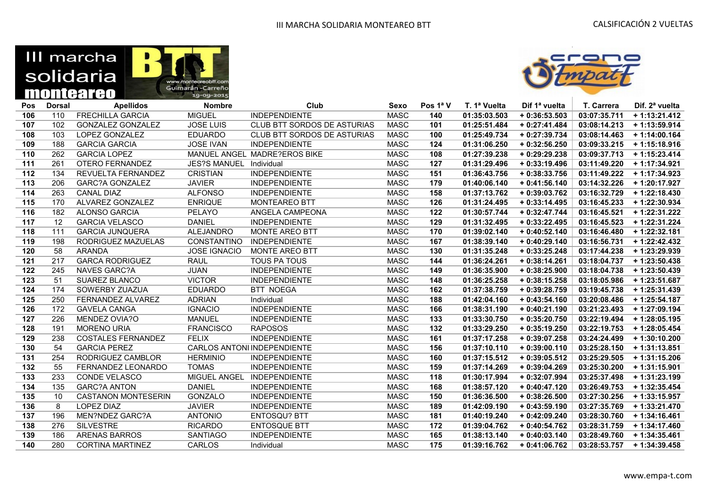| III marcha |                                  |
|------------|----------------------------------|
| solidaria  | www.montegreobtt.com             |
| monteareo  | Guimarán - Carreño<br>19-09-2015 |



| Pos              | <b>Dorsal</b> | <b>Apellidos</b>           | <b>Nombre</b>       | Club                               | Sexo        | Pos $1^a$ V | T. 1ª Vuelta | Dif 1ª vuelta  | T. Carrera   | Dif. 2 <sup>a</sup> vuelta |
|------------------|---------------|----------------------------|---------------------|------------------------------------|-------------|-------------|--------------|----------------|--------------|----------------------------|
| 106              | 110           | <b>FRECHILLA GARCIA</b>    | <b>MIGUEL</b>       | <b>INDEPENDIENTE</b>               | <b>MASC</b> | 140         | 01:35:03.503 | $+0.36:53.503$ | 03:07:35.711 | $+1:13:21.412$             |
| 107              | 102           | <b>GONZALEZ GONZALEZ</b>   | <b>JOSE LUIS</b>    | <b>CLUB BTT SORDOS DE ASTURIAS</b> | <b>MASC</b> | 101         | 01:25:51.484 | $+0:27:41.484$ | 03:08:14.213 | $+1:13:59.914$             |
| 108              | 103           | LOPEZ GONZALEZ             | <b>EDUARDO</b>      | CLUB BTT SORDOS DE ASTURIAS        | <b>MASC</b> | 100         | 01:25:49.734 | $+0:27:39.734$ | 03:08:14.463 | $+1:14:00.164$             |
| 109              | 188           | <b>GARCIA GARCIA</b>       | <b>JOSE IVAN</b>    | <b>INDEPENDIENTE</b>               | <b>MASC</b> | 124         | 01:31:06.250 | $+0:32:56.250$ | 03:09:33.215 | $+1:15:18.916$             |
| 110              | 262           | <b>GARCIA LOPEZ</b>        |                     | MANUEL ANGEL MADRE?EROS BIKE       | <b>MASC</b> | 108         | 01:27:39.238 | $+0:29:29.238$ | 03:09:37.713 | $+1:15:23.414$             |
| $111$            | 261           | OTERO FERNANDEZ            | <b>JES?S MANUEL</b> | Individual                         | <b>MASC</b> | 127         | 01:31:29.496 | $+0:33:19.496$ | 03:11:49.220 | + 1:17:34.921              |
| 112              | 134           | <b>REVUELTA FERNANDEZ</b>  | <b>CRISTIAN</b>     | <b>INDEPENDIENTE</b>               | <b>MASC</b> | 151         | 01:36:43.756 | $+0.38:33.756$ | 03:11:49.222 | $+1:17:34.923$             |
| 113              | 206           | <b>GARC?A GONZALEZ</b>     | <b>JAVIER</b>       | <b>INDEPENDIENTE</b>               | <b>MASC</b> | 179         | 01:40:06.140 | $+0:41:56.140$ | 03:14:32.226 | + 1:20:17.927              |
| $114$            | 263           | <b>CANAL DIAZ</b>          | <b>ALFONSO</b>      | <b>INDEPENDIENTE</b>               | <b>MASC</b> | 158         | 01:37:13.762 | $+0.39:03.762$ | 03:16:32.729 | $+1:22:18.430$             |
| $115$            | 170           | <b>ALVAREZ GONZALEZ</b>    | <b>ENRIQUE</b>      | <b>MONTEAREO BTT</b>               | <b>MASC</b> | 126         | 01:31:24.495 | $+0:33:14.495$ | 03:16:45.233 | + 1:22:30.934              |
| 116              | 182           | <b>ALONSO GARCIA</b>       | <b>PELAYO</b>       | ANGELA CAMPEONA                    | <b>MASC</b> | 122         | 01:30:57.744 | $+0:32:47.744$ | 03:16:45.521 | $+1:22:31.222$             |
| 117              | 12            | <b>GARCIA VELASCO</b>      | <b>DANIEL</b>       | <b>INDEPENDIENTE</b>               | <b>MASC</b> | 129         | 01:31:32.495 | $+0:33:22.495$ | 03:16:45.523 | + 1:22:31.224              |
| $\overline{118}$ | 111           | <b>GARCIA JUNQUERA</b>     | <b>ALEJANDRO</b>    | <b>MONTE AREO BTT</b>              | <b>MASC</b> | 170         | 01:39:02.140 | $+0.40:52.140$ | 03:16:46.480 | + 1:22:32.181              |
| 119              | 198           | RODRIGUEZ MAZUELAS         | <b>CONSTANTINO</b>  | <b>INDEPENDIENTE</b>               | <b>MASC</b> | 167         | 01:38:39.140 | $+0:40:29.140$ | 03:16:56.731 | $+1:22:42.432$             |
| 120              | 58            | <b>ARANDA</b>              | <b>JOSE IGNACIO</b> | MONTE AREO BTT                     | <b>MASC</b> | 130         | 01:31:35.248 | $+0:33:25.248$ | 03:17:44.238 | + 1:23:29.939              |
| 121              | 217           | <b>GARCA RODRIGUEZ</b>     | <b>RAUL</b>         | TOUS PA TOUS                       | <b>MASC</b> | 144         | 01:36:24.261 | $+0:38:14.261$ | 03:18:04.737 | $+1:23:50.438$             |
| $122$            | 245           | <b>NAVES GARC?A</b>        | <b>JUAN</b>         | <b>INDEPENDIENTE</b>               | <b>MASC</b> | 149         | 01:36:35.900 | $+0:38:25.900$ | 03:18:04.738 | $+1:23:50.439$             |
| 123              | 51            | <b>SUAREZ BLANCO</b>       | <b>VICTOR</b>       | <b>INDEPENDIENTE</b>               | <b>MASC</b> | 148         | 01:36:25.258 | $+0:38:15.258$ | 03:18:05.986 | $+1:23:51.687$             |
| 124              | 174           | SOWERBY ZUAZUA             | <b>EDUARDO</b>      | <b>BTT NOEGA</b>                   | <b>MASC</b> | 162         | 01:37:38.759 | $+0.39:28.759$ | 03:19:45.738 | $+1:25:31.439$             |
| 125              | 250           | <b>FERNANDEZ ALVAREZ</b>   | <b>ADRIAN</b>       | Individual                         | <b>MASC</b> | 188         | 01:42:04.160 | $+0:43:54.160$ | 03:20:08.486 | $+1:25:54.187$             |
| 126              | 172           | <b>GAVELA CANGA</b>        | <b>IGNACIO</b>      | <b>INDEPENDIENTE</b>               | <b>MASC</b> | 166         | 01:38:31.190 | $+0:40:21.190$ | 03:21:23.493 | $+1:27:09.194$             |
| 127              | 226           | MENDEZ OVIA?O              | <b>MANUEL</b>       | <b>INDEPENDIENTE</b>               | <b>MASC</b> | 133         | 01:33:30.750 | $+0:35:20.750$ | 03:22:19.494 | $+1:28:05.195$             |
| 128              | 191           | <b>MORENO URIA</b>         | <b>FRANCISCO</b>    | <b>RAPOSOS</b>                     | <b>MASC</b> | 132         | 01:33:29.250 | $+0:35:19.250$ | 03:22:19.753 | $+1:28:05.454$             |
| 129              | 238           | <b>COSTALES FERNANDEZ</b>  | <b>FELIX</b>        | <b>INDEPENDIENTE</b>               | <b>MASC</b> | 161         | 01:37:17.258 | $+0.39:07.258$ | 03:24:24.499 | $+1:30:10.200$             |
| 130              | 54            | <b>GARCIA PEREZ</b>        |                     | <b>CARLOS ANTONI INDEPENDIENTE</b> | <b>MASC</b> | 156         | 01:37:10.110 | $+0:39:00.110$ | 03:25:28.150 | $+1:31:13.851$             |
| 131              | 254           | RODRIGUEZ CAMBLOR          | <b>HERMINIO</b>     | <b>INDEPENDIENTE</b>               | <b>MASC</b> | 160         | 01:37:15.512 | $+0.39:05.512$ | 03:25:29.505 | $+1:31:15.206$             |
| 132              | 55            | FERNANDEZ LEONARDO         | <b>TOMAS</b>        | <b>INDEPENDIENTE</b>               | <b>MASC</b> | 159         | 01:37:14.269 | $+0.39:04.269$ | 03:25:30.200 | $+1:31:15.901$             |
| 133              | 233           | <b>CONDE VELASCO</b>       | MIGUEL ANGEL        | <b>INDEPENDIENTE</b>               | <b>MASC</b> | 118         | 01:30:17.994 | $+0:32:07.994$ | 03:25:37.498 | $+1:31:23.199$             |
| 134              | 135           | <b>GARC?A ANTON</b>        | <b>DANIEL</b>       | <b>INDEPENDIENTE</b>               | <b>MASC</b> | 168         | 01:38:57.120 | $+0:40:47.120$ | 03:26:49.753 | $+1:32:35.454$             |
| 135              | 10            | <b>CASTANON MONTESERIN</b> | GONZALO             | <b>INDEPENDIENTE</b>               | <b>MASC</b> | 150         | 01:36:36.500 | $+0.38:26.500$ | 03:27:30.256 | $+1:33:15.957$             |
| 136              | 8             | <b>LOPEZ DIAZ</b>          | <b>JAVIER</b>       | <b>INDEPENDIENTE</b>               | <b>MASC</b> | 189         | 01:42:09.190 | $+0:43:59.190$ | 03:27:35.769 | $+1:33:21.470$             |
| 137              | 196           | MEN?NDEZ GARC?A            | <b>ANTONIO</b>      | <b>ENTOSQU? BTT</b>                | <b>MASC</b> | 181         | 01:40:19.240 | $+0.42:09.240$ | 03:28:30.760 | $+1:34:16.461$             |
| 138              | 276           | <b>SILVESTRE</b>           | <b>RICARDO</b>      | <b>ENTOSQUE BTT</b>                | <b>MASC</b> | 172         | 01:39:04.762 | $+0:40:54.762$ | 03:28:31.759 | $+1:34:17.460$             |
| 139              | 186           | <b>ARENAS BARROS</b>       | <b>SANTIAGO</b>     | <b>INDEPENDIENTE</b>               | <b>MASC</b> | 165         | 01:38:13.140 | $+0:40:03.140$ | 03:28:49.760 | $+1:34:35.461$             |
| 140              | 280           | <b>CORTINA MARTINEZ</b>    | CARLOS              | Individual                         | <b>MASC</b> | 175         | 01:39:16.762 | $+0:41:06.762$ | 03:28:53.757 | $+1:34:39.458$             |
|                  |               |                            |                     |                                    |             |             |              |                |              |                            |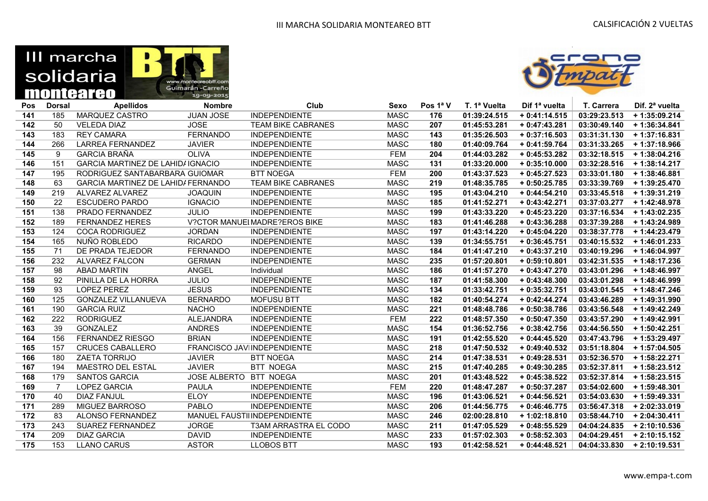| III marcha |                                  |
|------------|----------------------------------|
| solidaria  | www.montegreobtt.com             |
| monteareo  | Guimarán - Carreño<br>19-09-2015 |



| Pos   | <b>Dorsal</b> | <b>Apellidos</b>                         | <b>Nombre</b>          | Club                          | <b>Sexo</b> | Pos 1ª V | T. 1ª Vuelta | Dif 1ª vuelta  | T. Carrera   | Dif. 2 <sup>a</sup> vuelta |
|-------|---------------|------------------------------------------|------------------------|-------------------------------|-------------|----------|--------------|----------------|--------------|----------------------------|
| 141   | 185           | MARQUEZ CASTRO                           | <b>JUAN JOSE</b>       | <b>INDEPENDIENTE</b>          | <b>MASC</b> | 176      | 01:39:24.515 | $+0:41:14.515$ | 03:29:23.513 | $+1:35:09.214$             |
| $142$ | 50            | <b>VELEDA DIAZ</b>                       | <b>JOSE</b>            | <b>TEAM BIKE CABRANES</b>     | <b>MASC</b> | 207      | 01:45:53.281 | $+0:47:43.281$ | 03:30:49.140 | $+1:36:34.841$             |
| 143   | 183           | <b>REY CAMARA</b>                        | <b>FERNANDO</b>        | <b>INDEPENDIENTE</b>          | <b>MASC</b> | 143      | 01:35:26.503 | $+0:37:16.503$ | 03:31:31.130 | $+1:37:16.831$             |
| 144   | 266           | <b>LARREA FERNANDEZ</b>                  | <b>JAVIER</b>          | <b>INDEPENDIENTE</b>          | <b>MASC</b> | 180      | 01:40:09.764 | $+0:41:59.764$ | 03:31:33.265 | $+1:37:18.966$             |
| 145   | 9             | <b>GARCIA BRAÑA</b>                      | <b>OLIVA</b>           | <b>INDEPENDIENTE</b>          | <b>FEM</b>  | 204      | 01:44:03.282 | $+0.45:53.282$ | 03:32:18.515 | $+1:38:04.216$             |
| 146   | 151           | <b>GARCIA MARTINEZ DE LAHID/ IGNACIO</b> |                        | <b>INDEPENDIENTE</b>          | <b>MASC</b> | 131      | 01:33:20.000 | $+0.35:10.000$ | 03:32:28.516 | $+1:38:14.217$             |
| 147   | 195           | RODRIGUEZ SANTABARBARA GUIOMAR           |                        | <b>BTT NOEGA</b>              | <b>FEM</b>  | 200      | 01:43:37.523 | $+0.45:27.523$ | 03:33:01.180 | $+1:38:46.881$             |
| 148   | 63            | GARCIA MARTINEZ DE LAHID/ FERNANDO       |                        | <b>TEAM BIKE CABRANES</b>     | <b>MASC</b> | 219      | 01:48:35.785 | $+0:50:25.785$ | 03:33:39.769 | $+1:39:25.470$             |
| 149   | 219           | ALVAREZ ALVAREZ                          | <b>JOAQUIN</b>         | <b>INDEPENDIENTE</b>          | <b>MASC</b> | 195      | 01:43:04.210 | $+0:44:54.210$ | 03:33:45.518 | $+1:39:31.219$             |
| 150   | 22            | <b>ESCUDERO PARDO</b>                    | <b>IGNACIO</b>         | <b>INDEPENDIENTE</b>          | <b>MASC</b> | 185      | 01:41:52.271 | $+0:43:42.271$ | 03:37:03.277 | $+1:42:48.978$             |
| 151   | 138           | PRADO FERNANDEZ                          | <b>JULIO</b>           | <b>INDEPENDIENTE</b>          | <b>MASC</b> | 199      | 01:43:33.220 | $+0:45:23.220$ | 03:37:16.534 | $+1:43:02.235$             |
| 152   | 189           | <b>FERNANDEZ HERES</b>                   |                        | V?CTOR MANUEI MADRE?EROS BIKE | <b>MASC</b> | 183      | 01:41:46.288 | $+0:43:36.288$ | 03:37:39.288 | + 1:43:24.989              |
| 153   | 124           | <b>COCA RODRIGUEZ</b>                    | <b>JORDAN</b>          | <b>INDEPENDIENTE</b>          | <b>MASC</b> | 197      | 01:43:14.220 | $+0:45:04.220$ | 03:38:37.778 | + 1:44:23.479              |
| 154   | 165           | NUÑO ROBLEDO                             | <b>RICARDO</b>         | <b>INDEPENDIENTE</b>          | <b>MASC</b> | 139      | 01:34:55.751 | $+0:36:45.751$ | 03:40:15.532 | $+1:46:01.233$             |
| 155   | 71            | DE PRADA TEJEDOR                         | <b>FERNANDO</b>        | <b>INDEPENDIENTE</b>          | <b>MASC</b> | 184      | 01:41:47.210 | $+0.43:37.210$ | 03:40:19.296 | + 1:46:04.997              |
| 156   | 232           | <b>ALVAREZ FALCON</b>                    | <b>GERMAN</b>          | <b>INDEPENDIENTE</b>          | <b>MASC</b> | 235      | 01:57:20.801 | $+0:59:10.801$ | 03:42:31.535 | $+1:48:17.236$             |
| 157   | 98            | <b>ABAD MARTIN</b>                       | <b>ANGEL</b>           | Individual                    | <b>MASC</b> | 186      | 01:41:57.270 | $+0:43:47.270$ | 03:43:01.296 | $+1:48:46.997$             |
| 158   | 92            | PINILLA DE LA HORRA                      | <b>JULIO</b>           | <b>INDEPENDIENTE</b>          | <b>MASC</b> | 187      | 01:41:58.300 | $+0:43:48.300$ | 03:43:01.298 | $+1:48:46.999$             |
| 159   | 93            | LOPEZ PEREZ                              | <b>JESUS</b>           | <b>INDEPENDIENTE</b>          | <b>MASC</b> | 134      | 01:33:42.751 | $+0:35:32.751$ | 03:43:01.545 | $+1:48:47.246$             |
| 160   | 125           | <b>GONZALEZ VILLANUEVA</b>               | <b>BERNARDO</b>        | <b>MOFUSU BTT</b>             | <b>MASC</b> | 182      | 01:40:54.274 | $+0.42:44.274$ | 03:43:46.289 | $+1:49:31.990$             |
| 161   | 190           | <b>GARCIA RUIZ</b>                       | <b>NACHO</b>           | <b>INDEPENDIENTE</b>          | <b>MASC</b> | 221      | 01:48:48.786 | $+0:50:38.786$ | 03:43:56.548 | + 1:49:42.249              |
| 162   | 222           | <b>RODRIGUEZ</b>                         | <b>ALEJANDRA</b>       | <b>INDEPENDIENTE</b>          | <b>FEM</b>  | 222      | 01:48:57.350 | $+0:50:47.350$ | 03:43:57.290 | $+1:49:42.991$             |
| 163   | 39            | <b>GONZALEZ</b>                          | <b>ANDRES</b>          | <b>INDEPENDIENTE</b>          | <b>MASC</b> | 154      | 01:36:52.756 | $+0.38:42.756$ | 03:44:56.550 | + 1:50:42.251              |
| 164   | 156           | FERNANDEZ RIESGO                         | <b>BRIAN</b>           | <b>INDEPENDIENTE</b>          | <b>MASC</b> | 191      | 01:42:55.520 | $+0:44:45.520$ | 03:47:43.796 | + 1:53:29.497              |
| 165   | 157           | <b>CRUCES CABALLERO</b>                  |                        | FRANCISCO JAVIINDEPENDIENTE   | <b>MASC</b> | 218      | 01:47:50.532 | $+0.49:40.532$ | 03:51:18.804 | $+1:57:04.505$             |
| 166   | 180           | <b>ZAETA TORRIJO</b>                     | <b>JAVIER</b>          | <b>BTT NOEGA</b>              | <b>MASC</b> | 214      | 01:47:38.531 | $+0.49:28.531$ | 03:52:36.570 | + 1:58:22.271              |
| 167   | 194           | <b>MAESTRO DEL ESTAL</b>                 | <b>JAVIER</b>          | <b>BTT NOEGA</b>              | <b>MASC</b> | 215      | 01:47:40.285 | $+0.49:30.285$ | 03:52:37.811 | $+1:58:23.512$             |
| 168   | 179           | <b>SANTOS GARCIA</b>                     | JOSE ALBERTO BTT NOEGA |                               | <b>MASC</b> | 201      | 01:43:48.522 | $+0:45:38.522$ | 03:52:37.814 | $+1:58:23.515$             |
| 169   | 7             | <b>LOPEZ GARCIA</b>                      | <b>PAULA</b>           | <b>INDEPENDIENTE</b>          | <b>FEM</b>  | 220      | 01:48:47.287 | $+0:50:37.287$ | 03:54:02.600 | $+1:59:48.301$             |
| 170   | 40            | <b>DIAZ FANJUL</b>                       | <b>ELOY</b>            | <b>INDEPENDIENTE</b>          | <b>MASC</b> | 196      | 01:43:06.521 | $+0:44:56.521$ | 03:54:03.630 | $+1:59:49.331$             |
| 171   | 289           | <b>MIGUEZ BARROSO</b>                    | PABLO                  | <b>INDEPENDIENTE</b>          | <b>MASC</b> | 206      | 01:44:56.775 | $+0:46:46.775$ | 03:56:47.318 | $+2:02:33.019$             |
| 172   | 83            | <b>ALONSO FERNANDEZ</b>                  |                        | MANUEL FAUSTILINDEPENDIENTE   | <b>MASC</b> | 246      | 02:00:28.810 | $+1:02:18.810$ | 03:58:44.710 | $+2:04:30.411$             |
| 173   | 243           | <b>SUAREZ FERNANDEZ</b>                  | <b>JORGE</b>           | <b>T3AM ARRASTRA EL CODO</b>  | <b>MASC</b> | 211      | 01:47:05.529 | $+0:48:55.529$ | 04:04:24.835 | $+2:10:10.536$             |
| 174   | 209           | <b>DIAZ GARCIA</b>                       | <b>DAVID</b>           | <b>INDEPENDIENTE</b>          | <b>MASC</b> | 233      | 01:57:02.303 | $+0.58:52.303$ | 04:04:29.451 | $+2:10:15.152$             |
| 175   | 153           | <b>LLANO CARUS</b>                       | <b>ASTOR</b>           | <b>LLOBOS BTT</b>             | <b>MASC</b> | 193      | 01:42:58.521 | $+0:44:48.521$ | 04:04:33.830 | $+2:10:19.531$             |
|       |               |                                          |                        |                               |             |          |              |                |              |                            |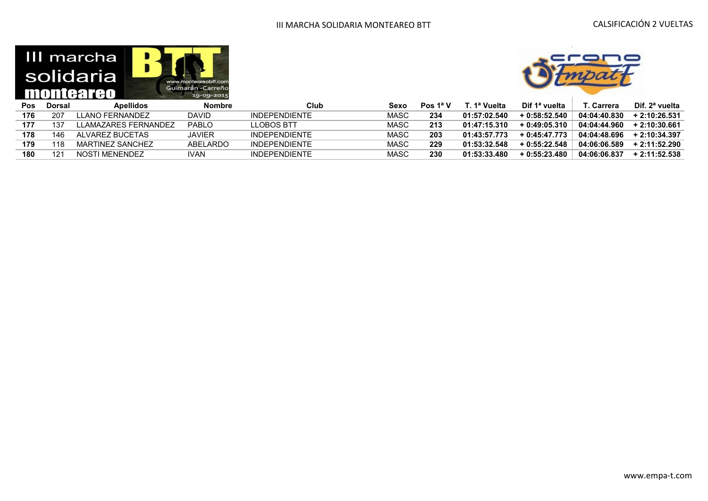|     |               | III marcha<br>solidaria<br>monteareo | www.montegreobtt.com<br>Guimarán-Carreño<br>19-09-2015 |
|-----|---------------|--------------------------------------|--------------------------------------------------------|
| Pos | <b>Dorsal</b> | <b>Apellidos</b>                     | <b>Nombre</b>                                          |
|     |               |                                      |                                                        |



| Pos | Dorsal | <b>Apellidos</b>    | Nombre       | Club                 | Sexo        | Pos 1ª V | . 1ª Vuelta  | Dif 1ª vuelta  | Carrera      | Dif. 2ª vuelta |
|-----|--------|---------------------|--------------|----------------------|-------------|----------|--------------|----------------|--------------|----------------|
| 176 | -207   | LLANO FERNANDEZ     | DAVID        | <b>INDEPENDIENTE</b> | <b>MASC</b> | 234      | 01:57:02.540 | $+0.58:52.540$ | 04:04:40.830 | $+2:10:26.531$ |
| 177 | 137    | LAMAZARES FERNANDEZ | <b>PABLO</b> | I I OBOS BTT         | MASC        | 213      | 01:47:15.310 | $+0.49:05.310$ | 04:04:44.960 | + 2:10:30.661  |
| 178 | 146    | AI VAREZ BUCETAS    | JAVIER       | <b>INDEPENDIENTE</b> | MASC        | 203      | 01:43:57.773 | $+0.45:47.773$ | 04:04:48.696 | $+2:10:34.397$ |
| 179 | 118    | MARTINEZ SANCHEZ    | ABEL ARDO    | <b>INDEPENDIENTE</b> | MASC        | 229      | 01:53:32.548 | $+0.55:22.548$ | 04:06:06.589 | $+2:11:52.290$ |
| 180 | 12     | NOSTI MENENDEZ      | IVAN.        | <b>INDEPENDIENTE</b> | MASC        | 230      | 01:53:33.480 | $+0.55:23.480$ | 04:06:06.837 | $+2:11:52.538$ |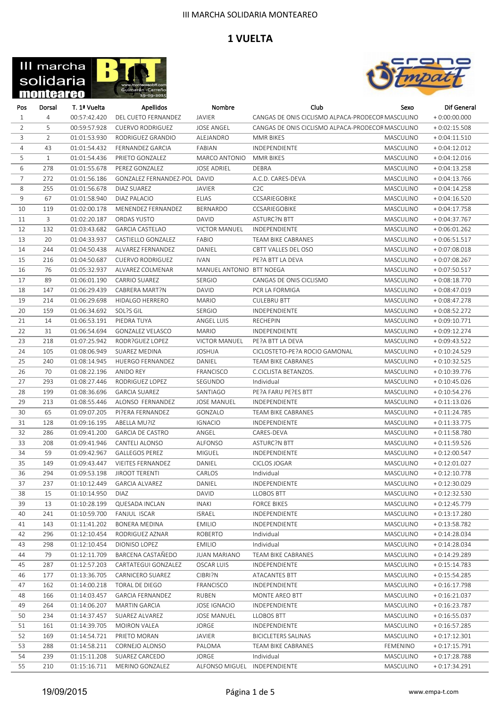



| Pos            | Dorsal         | T. 1ª Vuelta | Apellidos                    | Nombre                       | Club                                              | Sexo            | Dif General    |
|----------------|----------------|--------------|------------------------------|------------------------------|---------------------------------------------------|-----------------|----------------|
| $\mathbf{1}$   | 4              | 00:57:42.420 | DEL CUETO FERNANDEZ          | JAVIER                       | CANGAS DE ONIS CICLISMO ALPACA-PRODECOF MASCULINO |                 | $+0:00:00.000$ |
| $\overline{2}$ | 5              | 00:59:57.928 | <b>CUERVO RODRIGUEZ</b>      | <b>JOSE ANGEL</b>            | CANGAS DE ONIS CICLISMO ALPACA-PRODECOF MASCULINO |                 | $+0:02:15.508$ |
| 3              | $\overline{2}$ | 01:01:53.930 | RODRIGUEZ GRANDIO            | ALEJANDRO                    | MMR BIKES                                         | MASCULINO       | $+0:04:11.510$ |
| 4              | 43             | 01:01:54.432 | FERNANDEZ GARCIA             | <b>FABIAN</b>                | INDEPENDIENTE                                     | MASCULINO       | $+0:04:12.012$ |
| 5              | $\mathbf{1}$   | 01:01:54.436 | PRIETO GONZALEZ              | MARCO ANTONIO                | MMR BIKES                                         | MASCULINO       | $+0:04:12.016$ |
| 6              | 278            | 01:01:55.678 | PEREZ GONZALEZ               | <b>JOSE ADRIEL</b>           | <b>DEBRA</b>                                      | MASCULINO       | $+0:04:13.258$ |
| $\overline{7}$ | 272            | 01:01:56.186 | GONZALEZ FERNANDEZ-POL DAVID |                              | A.C.D. CARES-DEVA                                 | MASCULINO       | $+0:04:13.766$ |
| 8              | 255            | 01:01:56.678 | DIAZ SUAREZ                  | JAVIER                       | C <sub>2</sub> C                                  | MASCULINO       | $+0:04:14.258$ |
| 9              | 67             | 01:01:58.940 | DIAZ PALACIO                 | <b>ELIAS</b>                 | CCSARIEGOBIKE                                     | MASCULINO       | $+0:04:16.520$ |
| 10             | 119            | 01:02:00.178 | MENENDEZ FERNANDEZ           | BERNARDO                     | CCSARIEGOBIKE                                     | MASCULINO       | $+0:04:17.758$ |
| 11             | 3              | 01:02:20.187 | <b>ORDAS YUSTO</b>           | DAVID                        | <b>ASTURC?N BTT</b>                               | MASCULINO       | $+0:04:37.767$ |
| 12             | 132            | 01:03:43.682 | <b>GARCIA CASTELAO</b>       | <b>VICTOR MANUEL</b>         | INDEPENDIENTE                                     | MASCULINO       | $+0:06:01.262$ |
| 13             | 20             | 01:04:33.937 | CASTIELLO GONZALEZ           | FABIO                        | TEAM BIKE CABRANES                                | MASCULINO       | $+0:06:51.517$ |
| 14             | 244            | 01:04:50.438 | ALVAREZ FERNANDEZ            | DANIEL                       | CBTT VALLES DEL OSO                               | MASCULINO       | $+0:07:08.018$ |
| 15             | 216            | 01:04:50.687 | <b>CUERVO RODRIGUEZ</b>      | <b>IVAN</b>                  | PE?A BTT LA DEVA                                  | MASCULINO       | $+0:07:08.267$ |
| 16             | 76             | 01:05:32.937 | ALVAREZ COLMENAR             | MANUEL ANTONIO BTT NOEGA     |                                                   | MASCULINO       | $+0:07:50.517$ |
| 17             | 89             | 01:06:01.190 | CARRIO SUAREZ                | <b>SERGIO</b>                | CANGAS DE ONIS CICLISMO                           | MASCULINO       | $+0:08:18.770$ |
| 18             | 147            | 01:06:29.439 | CABRERA MART?N               | DAVID                        | PCR LA FORMIGA                                    | MASCULINO       | $+0:08:47.019$ |
| 19             | 214            | 01:06:29.698 | HIDALGO HERRERO              | <b>MARIO</b>                 | <b>CULEBRU BTT</b>                                | MASCULINO       | $+0:08:47.278$ |
| 20             | 159            | 01:06:34.692 | SOL?S GIL                    | <b>SERGIO</b>                | <b>INDEPENDIENTE</b>                              | MASCULINO       | $+0:08:52.272$ |
| 21             | 14             | 01:06:53.191 | PIEDRA TUYA                  | ANGEL LUIS                   | <b>RECHEPIN</b>                                   | MASCULINO       | $+0:09:10.771$ |
| 22             | 31             | 01:06:54.694 | GONZALEZ VELASCO             | <b>MARIO</b>                 | INDEPENDIENTE                                     | MASCULINO       | $+0:09:12.274$ |
| 23             | 218            | 01:07:25.942 | RODR?GUEZ LOPEZ              | <b>VICTOR MANUEL</b>         | PE?A BTT LA DEVA                                  | MASCULINO       | $+0:09:43.522$ |
| 24             | 105            | 01:08:06.949 | SUAREZ MEDINA                | <b>JOSHUA</b>                | CICLOSTETO-PE?A ROCIO GAMONAL                     | MASCULINO       | $+0:10:24.529$ |
| 25             | 240            | 01:08:14.945 | HUERGO FERNANDEZ             | DANIEL                       | TEAM BIKE CABRANES                                | MASCULINO       | $+0:10:32.525$ |
| 26             | 70             | 01:08:22.196 | ANIDO REY                    | FRANCISCO                    | C.CICLISTA BETANZOS.                              | MASCULINO       | $+0:10:39.776$ |
| 27             | 293            | 01:08:27.446 | RODRIGUEZ LOPEZ              | SEGUNDO                      | Individual                                        | MASCULINO       | $+0:10:45.026$ |
| 28             | 199            | 01:08:36.696 | <b>GARCIA SUAREZ</b>         | SANTIAGO                     | PE?A FARU PE?ES BTT                               | MASCULINO       | $+0:10:54.276$ |
| 29             | 213            | 01:08:55.446 | ALONSO FERNANDEZ             | <b>JOSE MANUEL</b>           | INDEPENDIENTE                                     | MASCULINO       | $+0:11:13.026$ |
| 30             | 65             | 01:09:07.205 | PI?ERA FERNANDEZ             | GONZALO                      | TEAM BIKE CABRANES                                | MASCULINO       | $+0:11:24.785$ |
| 31             | 128            | 01:09:16.195 | ABELLA MU?IZ                 | <b>IGNACIO</b>               | INDEPENDIENTE                                     | MASCULINO       | $+0:11:33.775$ |
| 32             | 286            | 01:09:41.200 | <b>GARCIA DE CASTRO</b>      | ANGEL                        | CARES-DEVA                                        | MASCULINO       | $+0:11:58.780$ |
| 33             | 208            | 01:09:41.946 | CANTELI ALONSO               | ALFONSO                      | <b>ASTURC?N BTT</b>                               | MASCULINO       | $+0:11:59.526$ |
| 34             | 59             | 01:09:42.967 | <b>GALLEGOS PEREZ</b>        | MIGUEL                       | INDEPENDIENTE                                     | MASCULINO       | $+0:12:00.547$ |
| 35             | 149            | 01:09:43.447 | <b>VIEITES FERNANDEZ</b>     | DANIEL                       | CICLOS JOGAR                                      | MASCULINO       | $+0:12:01.027$ |
| 36             | 294            | 01:09:53.198 | <b>JIROOT TERENTI</b>        | CARLOS                       | Individual                                        | MASCULINO       | $+0:12:10.778$ |
| 37             | 237            | 01:10:12.449 | <b>GARCIA ALVAREZ</b>        | DANIEL                       | INDEPENDIENTE                                     | MASCULINO       | $+0:12:30.029$ |
| 38             | 15             | 01:10:14.950 | <b>DIAZ</b>                  | DAVID                        | <b>LLOBOS BTT</b>                                 | MASCULINO       | $+0:12:32.530$ |
| 39             | 13             | 01:10:28.199 | QUESADA INCLAN               | <b>INAKI</b>                 | <b>FORCE BIKES</b>                                | MASCULINO       | $+0:12:45.779$ |
| 40             | 241            | 01:10:59.700 | FANJUL ISCAR                 | <b>ISRAEL</b>                | INDEPENDIENTE                                     | MASCULINO       | $+0:13:17.280$ |
| 41             | 143            | 01:11:41.202 | <b>BONERA MEDINA</b>         | <b>EMILIO</b>                | INDEPENDIENTE                                     | MASCULINO       | $+0:13:58.782$ |
| 42             | 296            | 01:12:10.454 | RODRIGUEZ AZNAR              | <b>ROBERTO</b>               | Individual                                        | MASCULINO       | $+0:14:28.034$ |
| 43             | 298            | 01:12:10.454 | DIONISO LOPEZ                | <b>EMILIO</b>                | Individual                                        | MASCULINO       | $+0:14:28.034$ |
| 44             | 79             | 01:12:11.709 | BARCENA CASTAÑEDO            | <b>JUAN MARIANO</b>          | TEAM BIKE CABRANES                                | MASCULINO       | $+0:14:29.289$ |
| 45             | 287            | 01:12:57.203 | CARTATEGUI GONZALEZ          | OSCAR LUIS                   | INDEPENDIENTE                                     | MASCULINO       | $+0:15:14.783$ |
| 46             | 177            | 01:13:36.705 | CARNICERO SUAREZ             | CIBRI?N                      | ATACANTES BTT                                     | MASCULINO       | $+0:15:54.285$ |
| 47             | 162            | 01:14:00.218 | <b>TORAL DE DIEGO</b>        | FRANCISCO                    | INDEPENDIENTE                                     | MASCULINO       | $+0:16:17.798$ |
| 48             | 166            | 01:14:03.457 | <b>GARCIA FERNANDEZ</b>      | RUBEN                        | MONTE AREO BTT                                    | MASCULINO       | $+0:16:21.037$ |
| 49             | 264            | 01:14:06.207 | <b>MARTIN GARCIA</b>         | <b>JOSE IGNACIO</b>          | INDEPENDIENTE                                     | MASCULINO       | $+0:16:23.787$ |
| 50             | 234            | 01:14:37.457 | SUAREZ ALVAREZ               | <b>JOSE MANUEL</b>           | <b>LLOBOS BTT</b>                                 | MASCULINO       | $+0:16:55.037$ |
| 51             | 161            | 01:14:39.705 | <b>MOIRON VALEA</b>          | <b>JORGE</b>                 | INDEPENDIENTE                                     | MASCULINO       | $+0.16:57.285$ |
| 52             | 169            | 01:14:54.721 | PRIETO MORAN                 | <b>JAVIER</b>                | <b>BICICLETERS SALINAS</b>                        | MASCULINO       | $+0:17:12.301$ |
| 53             | 288            | 01:14:58.211 | CORNEJO ALONSO               | PALOMA                       | TEAM BIKE CABRANES                                | <b>FEMENINO</b> | $+0:17:15.791$ |
| 54             | 239            | 01:15:11.208 | SUAREZ CARCEDO               | <b>JORGE</b>                 | Individual                                        | MASCULINO       | $+0:17:28.788$ |
| 55             | 210            | 01:15:16.711 | MERINO GONZALEZ              | ALFONSO MIGUEL INDEPENDIENTE |                                                   | MASCULINO       | $+0:17:34.291$ |
|                |                |              |                              |                              |                                                   |                 |                |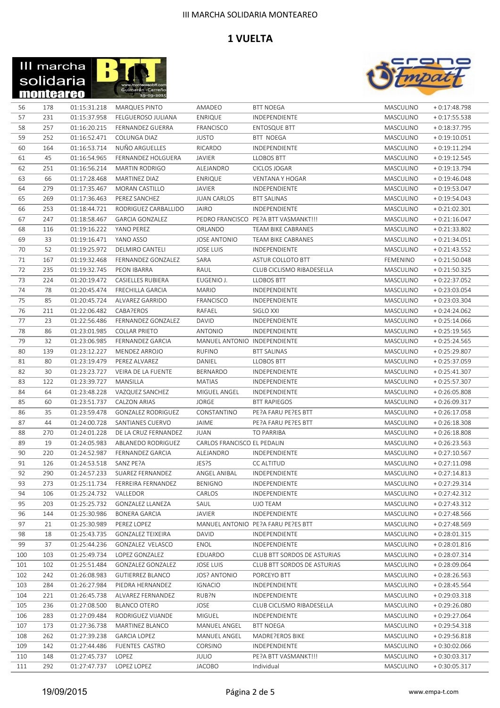



| 56  | 178 | 01:15:31.218 | MARQUES PINTO             | AMADEO                       | <b>BTT NOEGA</b>                     | MASCULINO | $+0:17:48.798$ |
|-----|-----|--------------|---------------------------|------------------------------|--------------------------------------|-----------|----------------|
| 57  | 231 | 01:15:37.958 | FELGUEROSO JULIANA        | <b>ENRIQUE</b>               | <b>INDEPENDIENTE</b>                 | MASCULINO | $+0:17:55.538$ |
| 58  | 257 | 01:16:20.215 | FERNANDEZ GUERRA          | FRANCISCO                    | <b>ENTOSQUE BTT</b>                  | MASCULINO | $+0:18:37.795$ |
| 59  | 252 | 01:16:52.471 | COLUNGA DIAZ              | <b>JUSTO</b>                 | <b>BTT NOEGA</b>                     | MASCULINO | $+0:19:10.051$ |
| 60  | 164 | 01:16:53.714 | NUÑO ARGUELLES            | RICARDO                      | INDEPENDIENTE                        | MASCULINO | $+0:19:11.294$ |
| 61  | 45  | 01:16:54.965 | FERNANDEZ HOLGUERA        | <b>JAVIER</b>                | <b>LLOBOS BTT</b>                    | MASCULINO | $+0:19:12.545$ |
| 62  | 251 | 01:16:56.214 | <b>MARTIN RODRIGO</b>     | ALEJANDRO                    | CICLOS JOGAR                         | MASCULINO | $+0:19:13.794$ |
| 63  | 66  | 01:17:28.468 | MARTINEZ DIAZ             | <b>ENRIQUE</b>               | <b>VENTANA Y HOGAR</b>               | MASCULINO | $+0.19:46.048$ |
| 64  | 279 | 01:17:35.467 | MORAN CASTILLO            | <b>JAVIER</b>                | INDEPENDIENTE                        | MASCULINO | $+0.19.53.047$ |
| 65  | 269 | 01:17:36.463 | PEREZ SANCHEZ             | <b>JUAN CARLOS</b>           | <b>BTT SALINAS</b>                   | MASCULINO | $+0.19:54.043$ |
| 66  | 253 | 01:18:44.721 | RODRIGUEZ CARBALLIDO      | <b>JAIRO</b>                 | INDEPENDIENTE                        | MASCULINO | $+0:21:02.301$ |
| 67  | 247 | 01:18:58.467 | <b>GARCIA GONZALEZ</b>    |                              | PEDRO FRANCISCO PE?A BTT VASMANKT!!! | MASCULINO | $+0:21:16.047$ |
|     | 116 | 01:19:16.222 | YANO PEREZ                | ORLANDO                      | TEAM BIKE CABRANES                   | MASCULINO | $+0:21:33.802$ |
| 68  |     |              |                           |                              |                                      |           |                |
| 69  | 33  | 01:19:16.471 | YANO ASSO                 | <b>JOSE ANTONIO</b>          | TEAM BIKE CABRANES                   | MASCULINO | $+0:21:34.051$ |
| 70  | 52  | 01:19:25.972 | DELMIRO CANTELI           | <b>JOSE LUIS</b>             | INDEPENDIENTE                        | MASCULINO | $+0:21:43.552$ |
| 71  | 167 | 01:19:32.468 | FERNANDEZ GONZALEZ        | SARA                         | ASTUR COLLOTO BTT                    | FEMENINO  | $+0:21:50.048$ |
| 72  | 235 | 01:19:32.745 | <b>PEON IBARRA</b>        | RAUL                         | CLUB CICLISMO RIBADESELLA            | MASCULINO | $+0:21:50.325$ |
| 73  | 224 | 01:20:19.472 | <b>CASIELLES RUBIERA</b>  | EUGENIO J.                   | <b>LLOBOS BTT</b>                    | MASCULINO | $+0.22:37.052$ |
| 74  | 78  | 01:20:45.474 | <b>FRECHILLA GARCIA</b>   | <b>MARIO</b>                 | INDEPENDIENTE                        | MASCULINO | $+0.23:03.054$ |
| 75  | 85  | 01:20:45.724 | ALVAREZ GARRIDO           | <b>FRANCISCO</b>             | INDEPENDIENTE                        | MASCULINO | $+0.23:03.304$ |
| 76  | 211 | 01:22:06.482 | CABA?EROS                 | RAFAEL                       | SIGLO XXI                            | MASCULINO | $+0:24:24.062$ |
| 77  | 23  | 01:22:56.486 | FERNANDEZ GONZALEZ        | DAVID                        | INDEPENDIENTE                        | MASCULINO | $+0.25:14.066$ |
| 78  | 86  | 01:23:01.985 | <b>COLLAR PRIETO</b>      | <b>ANTONIO</b>               | INDEPENDIENTE                        | MASCULINO | $+0.25:19.565$ |
| 79  | 32  | 01:23:06.985 | <b>FERNANDEZ GARCIA</b>   | MANUEL ANTONIO INDEPENDIENTE |                                      | MASCULINO | $+0.25:24.565$ |
| 80  | 139 | 01:23:12.227 | MENDEZ ARROJO             | <b>RUFINO</b>                | <b>BTT SALINAS</b>                   | MASCULINO | $+0:25:29.807$ |
| 81  | 80  | 01:23:19.479 | PEREZ ALVAREZ             | DANIEL                       | <b>LLOBOS BTT</b>                    | MASCULINO | $+0.25:37.059$ |
| 82  | 30  | 01:23:23.727 | VEIRA DE LA FUENTE        | BERNARDO                     | INDEPENDIENTE                        | MASCULINO | $+0.25:41.307$ |
| 83  | 122 | 01:23:39.727 | MANSILLA                  | MATIAS                       | INDEPENDIENTE                        | MASCULINO | $+0.25:57.307$ |
| 84  | 64  | 01:23:48.228 | VAZQUEZ SANCHEZ           | MIGUEL ANGEL                 | INDEPENDIENTE                        | MASCULINO | $+0.26:05.808$ |
| 85  | 60  | 01:23:51.737 | CALZON ARIAS              | JORGE                        | <b>BTT RAPIEGOS</b>                  | MASCULINO | $+0.26:09.317$ |
| 86  | 35  | 01:23:59.478 | <b>GONZALEZ RODRIGUEZ</b> | CONSTANTINO                  | PE?A FARU PE?ES BTT                  | MASCULINO | $+0.26:17.058$ |
| 87  | 44  | 01:24:00.728 | SANTIANES CUERVO          | JAIME                        | PE?A FARU PE?ES BTT                  | MASCULINO | $+0.26:18.308$ |
| 88  | 270 | 01:24:01.228 | DE LA CRUZ FERNANDEZ      | JUAN                         | TO PARRIBA                           | MASCULINO | $+0.26:18.808$ |
| 89  | 19  | 01:24:05.983 | ABLANEDO RODRIGUEZ        | CARLOS FRANCISCO EL PEDALIN  |                                      | MASCULINO | $+0:26:23.563$ |
| 90  | 220 | 01:24:52.987 | FERNANDEZ GARCIA          | ALEJANDRO                    | INDEPENDIENTE                        | MASCULINO | $+0:27:10.567$ |
| 91  | 126 | 01:24:53.518 | SANZ PE?A                 | JES?S                        | CC ALTITUD                           | MASCULINO | $+0:27:11.098$ |
| 92  | 290 | 01:24:57.233 | SUAREZ FERNANDEZ          | ANGEL ANIBAL                 | INDEPENDIENTE                        | MASCULINO | $+0:27:14.813$ |
| 93  | 273 | 01:25:11.734 | FERREIRA FERNANDEZ        | <b>BENIGNO</b>               | INDEPENDIENTE                        | MASCULINO | $+0:27:29.314$ |
| 94  | 106 | 01:25:24.732 | VALLEDOR                  | CARLOS                       | INDEPENDIENTE                        | MASCULINO | $+0:27:42.312$ |
| 95  | 203 | 01:25:25.732 | <b>GONZALEZ LLANEZA</b>   | SAUL                         | UJO TEAM                             | MASCULINO | $+0:27:43.312$ |
| 96  | 144 | 01:25:30.986 | BONERA GARCIA             | JAVIER                       | INDEPENDIENTE                        | MASCULINO | $+0:27:48.566$ |
| 97  | 21  | 01:25:30.989 | PEREZ LOPEZ               |                              | MANUEL ANTONIO PE?A FARU PE?ES BTT   | MASCULINO | $+0:27:48.569$ |
| 98  | 18  | 01:25:43.735 | <b>GONZALEZ TEIXEIRA</b>  | DAVID                        | INDEPENDIENTE                        | MASCULINO | $+0.28:01.315$ |
| 99  | 37  | 01:25:44.236 | GONZALEZ VELASCO          | ENOL                         | INDEPENDIENTE                        | MASCULINO | $+0.28:01.816$ |
| 100 | 103 | 01:25:49.734 | LOPEZ GONZALEZ            | EDUARDO                      | CLUB BTT SORDOS DE ASTURIAS          | MASCULINO | $+0.28:07.314$ |
| 101 | 102 | 01:25:51.484 | GONZALEZ GONZALEZ         | <b>JOSE LUIS</b>             | CLUB BTT SORDOS DE ASTURIAS          | MASCULINO | $+0.28:09.064$ |
| 102 | 242 | 01:26:08.983 | <b>GUTIERREZ BLANCO</b>   | <b>JOS? ANTONIO</b>          | PORCEYO BTT                          | MASCULINO | $+0.28:26.563$ |
| 103 | 284 | 01:26:27.984 | PIEDRA HERNANDEZ          | <b>IGNACIO</b>               | INDEPENDIENTE                        | MASCULINO | $+0.28:45.564$ |
| 104 | 221 | 01:26:45.738 | ALVAREZ FERNANDEZ         | RUB?N                        | INDEPENDIENTE                        | MASCULINO | $+0.29:03.318$ |
| 105 | 236 | 01:27:08.500 | <b>BLANCO OTERO</b>       | JOSE                         | CLUB CICLISMO RIBADESELLA            | MASCULINO | $+0.29:26.080$ |
| 106 | 283 | 01:27:09.484 | RODRIGUEZ VIJANDE         | MIGUEL                       | INDEPENDIENTE                        | MASCULINO | $+0.29:27.064$ |
| 107 | 173 | 01:27:36.738 | MARTINEZ BLANCO           | MANUEL ANGEL                 | <b>BTT NOEGA</b>                     | MASCULINO | $+0.29:54.318$ |
| 108 | 262 | 01:27:39.238 | <b>GARCIA LOPEZ</b>       | MANUEL ANGEL                 | MADRE?EROS BIKE                      | MASCULINO | $+0.29:56.818$ |
| 109 | 142 | 01:27:44.486 | FUENTES CASTRO            | CORSINO                      | INDEPENDIENTE                        | MASCULINO | $+0:30:02.066$ |
| 110 | 148 | 01:27:45.737 | LOPEZ                     | <b>JULIO</b>                 | PE?A BTT VASMANKT!!!                 | MASCULINO | $+0:30:03.317$ |
| 111 | 292 | 01:27:47.737 | LOPEZ LOPEZ               | <b>JACOBO</b>                | Individual                           | MASCULINO | $+0:30:05.317$ |
|     |     |              |                           |                              |                                      |           |                |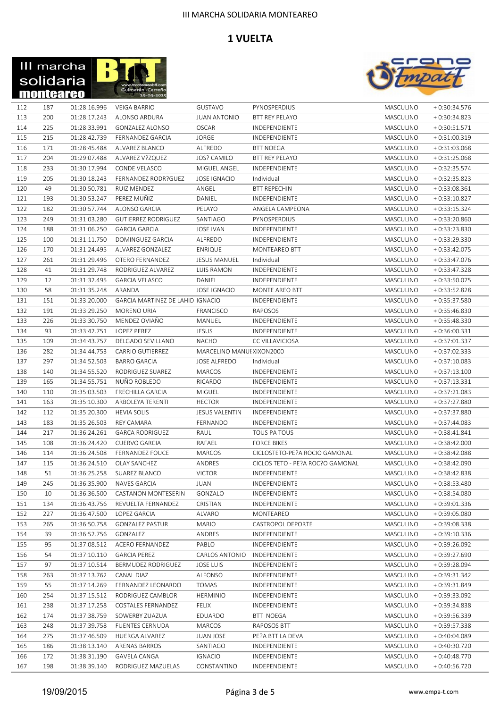



| 112 | 187 | 01:28:16.996 | VEIGA BARRIO                            | GUSTAVO                   | PYNOSPERDIUS                     | MASCULINO | $+0:30:34.576$ |
|-----|-----|--------------|-----------------------------------------|---------------------------|----------------------------------|-----------|----------------|
| 113 | 200 | 01:28:17.243 | ALONSO ARDURA                           | <b>JUAN ANTONIO</b>       | <b>BTT REY PELAYO</b>            | MASCULINO | $+0:30:34.823$ |
| 114 | 225 | 01:28:33.991 | GONZALEZ ALONSO                         | <b>OSCAR</b>              | INDEPENDIENTE                    | MASCULINO | $+0:30:51.571$ |
| 115 | 215 | 01:28:42.739 | FERNANDEZ GARCIA                        | JORGE                     | INDEPENDIENTE                    | MASCULINO | $+0:31:00.319$ |
| 116 | 171 | 01:28:45.488 | ALVAREZ BLANCO                          | ALFREDO                   | <b>BTT NOEGA</b>                 | MASCULINO | $+0:31:03.068$ |
| 117 | 204 | 01:29:07.488 | ALVAREZ V?ZQUEZ                         | <b>JOS? CAMILO</b>        | <b>BTT REY PELAYO</b>            | MASCULINO | $+0:31:25.068$ |
| 118 | 233 | 01:30:17.994 | CONDE VELASCO                           | MIGUEL ANGEL              | INDEPENDIENTE                    | MASCULINO | $+0.32:35.574$ |
|     |     |              |                                         |                           |                                  |           |                |
| 119 | 205 | 01:30:18.243 | FERNANDEZ RODR?GUEZ                     | <b>JOSE IGNACIO</b>       | Individual                       | MASCULINO | $+0.32:35.823$ |
| 120 | 49  | 01:30:50.781 | RUIZ MENDEZ                             | ANGEL                     | <b>BTT REPECHIN</b>              | MASCULINO | $+0.33:08.361$ |
| 121 | 193 | 01:30:53.247 | PEREZ MUÑIZ                             | DANIEL                    | INDEPENDIENTE                    | MASCULINO | $+0:33:10.827$ |
| 122 | 182 | 01:30:57.744 | ALONSO GARCIA                           | PELAYO                    | ANGELA CAMPEONA                  | MASCULINO | $+0:33:15.324$ |
| 123 | 249 | 01:31:03.280 | <b>GUTIERREZ RODRIGUEZ</b>              | SANTIAGO                  | PYNOSPERDIUS                     | MASCULINO | $+0.33:20.860$ |
| 124 | 188 | 01:31:06.250 | <b>GARCIA GARCIA</b>                    | <b>JOSE IVAN</b>          | INDEPENDIENTE                    | MASCULINO | $+0.33:23.830$ |
| 125 | 100 | 01:31:11.750 | DOMINGUEZ GARCIA                        | ALFREDO                   | INDEPENDIENTE                    | MASCULINO | $+0.33:29.330$ |
| 126 | 170 | 01:31:24.495 | ALVAREZ GONZALEZ                        | <b>ENRIQUE</b>            | MONTEAREO BTT                    | MASCULINO | $+0.33:42.075$ |
| 127 | 261 | 01:31:29.496 | OTERO FERNANDEZ                         | <b>JESUS MANUEL</b>       | Individual                       | MASCULINO | $+0.33:47.076$ |
| 128 | 41  | 01:31:29.748 | RODRIGUEZ ALVAREZ                       | LUIS RAMON                | INDEPENDIENTE                    | MASCULINO | $+0.33:47.328$ |
| 129 | 12  | 01:31:32.495 | <b>GARCIA VELASCO</b>                   | DANIEL                    | INDEPENDIENTE                    | MASCULINO | $+0.33:50.075$ |
| 130 | 58  | 01:31:35.248 | ARANDA                                  | <b>JOSE IGNACIO</b>       | <b>MONTE AREO BTT</b>            | MASCULINO | $+0.33:52.828$ |
| 131 | 151 | 01:33:20.000 | <b>GARCIA MARTINEZ DE LAHID IGNACIO</b> |                           | INDEPENDIENTE                    | MASCULINO | $+0:35:37.580$ |
| 132 | 191 | 01:33:29.250 | MORENO URIA                             | FRANCISCO                 | RAPOSOS                          | MASCULINO | $+0.35:46.830$ |
| 133 | 226 | 01:33:30.750 | MENDEZ OVIAÑO                           | MANUEL                    | INDEPENDIENTE                    | MASCULINO | $+0.35:48.330$ |
| 134 | 93  | 01:33:42.751 | <b>LOPEZ PEREZ</b>                      | <b>JESUS</b>              | <b>INDEPENDIENTE</b>             | MASCULINO | $+0.36:00.331$ |
| 135 | 109 | 01:34:43.757 | DELGADO SEVILLANO                       | <b>NACHO</b>              | CC VILLAVICIOSA                  | MASCULINO | $+0.37:01.337$ |
| 136 | 282 | 01:34:44.753 | <b>CARRIO GUTIERREZ</b>                 | MARCELINO MANUI XIXON2000 |                                  | MASCULINO | $+0.37:02.333$ |
| 137 | 297 | 01:34:52.503 | <b>BARRO GARCIA</b>                     | <b>JOSE ALFREDO</b>       | Individual                       | MASCULINO | $+0.37:10.083$ |
|     | 140 |              | RODRIGUEZ SUAREZ                        |                           |                                  |           |                |
| 138 | 165 | 01:34:55.520 |                                         | MARCOS                    | INDEPENDIENTE                    | MASCULINO | $+0:37:13.100$ |
| 139 |     | 01:34:55.751 | NUÑO ROBLEDO                            | RICARDO                   | INDEPENDIENTE                    | MASCULINO | $+0:37:13.331$ |
| 140 | 110 | 01:35:03.503 | <b>FRECHILLA GARCIA</b>                 | MIGUEL                    | INDEPENDIENTE                    | MASCULINO | $+0:37:21.083$ |
| 141 | 163 | 01:35:10.300 | ARBOLEYA TERENTI                        | <b>HECTOR</b>             | INDEPENDIENTE                    | MASCULINO | $+0:37:27.880$ |
| 142 | 112 | 01:35:20.300 | <b>HEVIA SOLIS</b>                      | <b>JESUS VALENTIN</b>     | INDEPENDIENTE                    | MASCULINO | $+0:37:37.880$ |
| 143 | 183 | 01:35:26.503 | REY CAMARA                              | FERNANDO                  | INDEPENDIENTE                    | MASCULINO | $+0:37:44.083$ |
| 144 | 217 | 01:36:24.261 | <b>GARCA RODRIGUEZ</b>                  | RAUL                      | TOUS PA TOUS                     | MASCULINO | $+0:38:41.841$ |
| 145 | 108 | 01:36:24.420 | <b>CUERVO GARCIA</b>                    | RAFAEL                    | <b>FORCE BIKES</b>               | MASCULINO | $+0.38:42.000$ |
| 146 | 114 | 01:36:24.508 | <b>FERNANDEZ FOUCE</b>                  | MARCOS                    | CICLOSTETO-PE?A ROCIO GAMONAL    | MASCULINO | $+0.38:42.088$ |
| 147 | 115 | 01:36:24.510 | OLAY SANCHEZ                            | ANDRES                    | CICLOS TETO - PE?A ROC?O GAMONAL | MASCULINO | $+0:38:42.090$ |
| 148 | 51  | 01:36:25.258 | <b>SUAREZ BLANCO</b>                    | <b>VICTOR</b>             | <b>INDEPENDIENTE</b>             | MASCULINO | $+0:38:42.838$ |
| 149 | 245 | 01:36:35.900 | <b>NAVES GARCIA</b>                     | <b>JUAN</b>               | INDEPENDIENTE                    | MASCULINO | $+0.38:53.480$ |
| 150 | 10  | 01:36:36.500 | CASTANON MONTESERIN                     | GONZALO                   | INDEPENDIENTE                    | MASCULINO | $+0:38:54.080$ |
| 151 | 134 | 01:36:43.756 | REVUELTA FERNANDEZ                      | CRISTIAN                  | INDEPENDIENTE                    | MASCULINO | $+0:39:01.336$ |
| 152 | 227 | 01:36:47.500 | LOPEZ GARCIA                            | ALVARO                    | MONTEAREO                        | MASCULINO | $+0.39:05.080$ |
| 153 | 265 | 01:36:50.758 | <b>GONZALEZ PASTUR</b>                  | <b>MARIO</b>              | CASTROPOL DEPORTE                | MASCULINO | $+0.39:08.338$ |
| 154 | 39  | 01:36:52.756 | GONZALEZ                                | ANDRES                    | INDEPENDIENTE                    | MASCULINO | $+0:39:10.336$ |
| 155 | 95  | 01:37:08.512 | ACERO FERNANDEZ                         | PABLO                     | INDEPENDIENTE                    | MASCULINO | $+0.39:26.092$ |
| 156 | 54  | 01:37:10.110 | <b>GARCIA PEREZ</b>                     | CARLOS ANTONIO            | INDEPENDIENTE                    | MASCULINO | $+0.39:27.690$ |
| 157 | 97  | 01:37:10.514 | BERMUDEZ RODRIGUEZ                      | <b>JOSE LUIS</b>          | INDEPENDIENTE                    | MASCULINO | $+0.39:28.094$ |
| 158 | 263 | 01:37:13.762 | CANAL DIAZ                              | ALFONSO                   | INDEPENDIENTE                    | MASCULINO | $+0.39:31.342$ |
| 159 | 55  | 01:37:14.269 | FERNANDEZ LEONARDO                      | <b>TOMAS</b>              | INDEPENDIENTE                    | MASCULINO | $+0:39:31.849$ |
| 160 | 254 | 01:37:15.512 | RODRIGUEZ CAMBLOR                       | <b>HERMINIO</b>           | INDEPENDIENTE                    | MASCULINO | $+0.39:33.092$ |
|     |     |              |                                         |                           |                                  |           |                |
| 161 | 238 | 01:37:17.258 | <b>COSTALES FERNANDEZ</b>               | <b>FELIX</b>              | INDEPENDIENTE                    | MASCULINO | $+0.39:34.838$ |
| 162 | 174 | 01:37:38.759 | SOWERBY ZUAZUA                          | EDUARDO                   | <b>BTT NOEGA</b>                 | MASCULINO | $+0.39:56.339$ |
| 163 | 248 | 01:37:39.758 | <b>FUENTES CERNUDA</b>                  | MARCOS                    | RAPOSOS BTT                      | MASCULINO | $+0.39:57.338$ |
| 164 | 275 | 01:37:46.509 | HUERGA ALVAREZ                          | JUAN JOSE                 | PE?A BTT LA DEVA                 | MASCULINO | $+0:40:04.089$ |
| 165 | 186 | 01:38:13.140 | ARENAS BARROS                           | SANTIAGO                  | INDEPENDIENTE                    | MASCULINO | + 0:40:30.720  |
| 166 | 172 | 01:38:31.190 | <b>GAVELA CANGA</b>                     | <b>IGNACIO</b>            | INDEPENDIENTE                    | MASCULINO | $+0:40:48.770$ |
| 167 | 198 | 01:38:39.140 | RODRIGUEZ MAZUELAS                      | CONSTANTINO               | INDEPENDIENTE                    | MASCULINO | $+0:40:56.720$ |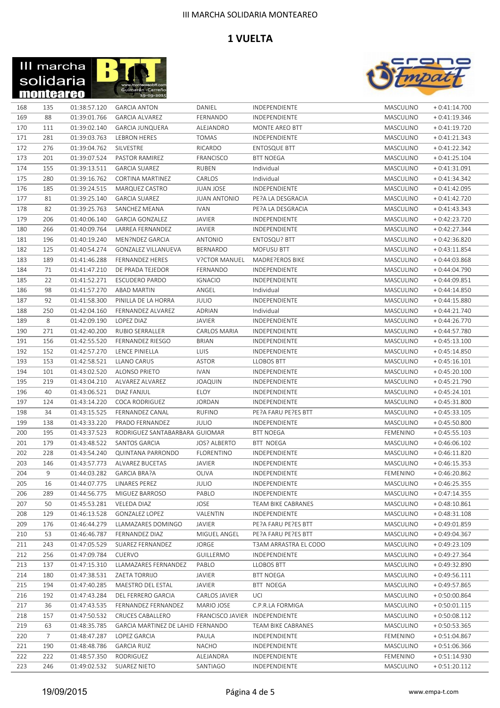



| 168 | 135            | 01:38:57.120 | <b>GARCIA ANTON</b>               | DANIEL                         | INDEPENDIENTE          | MASCULINO       | $+0:41:14.700$ |
|-----|----------------|--------------|-----------------------------------|--------------------------------|------------------------|-----------------|----------------|
| 169 | 88             | 01:39:01.766 | <b>GARCIA ALVAREZ</b>             | FERNANDO                       | INDEPENDIENTE          | MASCULINO       | $+0:41:19.346$ |
| 170 | 111            | 01:39:02.140 | <b>GARCIA JUNQUERA</b>            | ALEJANDRO                      | MONTE AREO BTT         | MASCULINO       | $+0:41:19.720$ |
| 171 | 281            | 01:39:03.763 | LEBRON HERES                      | <b>TOMAS</b>                   | INDEPENDIENTE          | MASCULINO       | $+0:41:21.343$ |
| 172 | 276            | 01:39:04.762 | SILVESTRE                         | RICARDO                        | <b>ENTOSQUE BTT</b>    | MASCULINO       | $+0:41:22.342$ |
| 173 | 201            | 01:39:07.524 | PASTOR RAMIREZ                    | FRANCISCO                      | <b>BTT NOEGA</b>       | MASCULINO       | $+0:41:25.104$ |
| 174 | 155            | 01:39:13.511 | <b>GARCIA SUAREZ</b>              | <b>RUBEN</b>                   | Individual             | MASCULINO       | $+0:41:31.091$ |
| 175 | 280            | 01:39:16.762 | CORTINA MARTINEZ                  | CARLOS                         | Individual             | MASCULINO       | $+0:41:34.342$ |
| 176 | 185            | 01:39:24.515 | MARQUEZ CASTRO                    | JUAN JOSE                      | INDEPENDIENTE          | MASCULINO       | $+0:41:42.095$ |
| 177 | 81             | 01:39:25.140 | <b>GARCIA SUAREZ</b>              | <b>JUAN ANTONIO</b>            | PE?A LA DESGRACIA      | MASCULINO       | $+0:41:42.720$ |
| 178 | 82             | 01:39:25.763 | SANCHEZ MEANA                     | <b>IVAN</b>                    | PE?A LA DESGRACIA      | MASCULINO       | $+0:41:43.343$ |
| 179 | 206            | 01:40:06.140 | <b>GARCIA GONZALEZ</b>            | <b>JAVIER</b>                  | INDEPENDIENTE          | MASCULINO       | $+0:42:23.720$ |
| 180 | 266            | 01:40:09.764 | LARREA FERNANDEZ                  | <b>JAVIER</b>                  | INDEPENDIENTE          | MASCULINO       | $+0:42:27.344$ |
| 181 | 196            | 01:40:19.240 | MEN?NDEZ GARCIA                   | <b>ANTONIO</b>                 | ENTOSQU? BTT           | MASCULINO       | $+0:42:36.820$ |
|     |                |              |                                   |                                |                        |                 |                |
| 182 | 125            | 01:40:54.274 | <b>GONZALEZ VILLANUEVA</b>        | BERNARDO                       | <b>MOFUSU BTT</b>      | MASCULINO       | $+0:43:11.854$ |
| 183 | 189            | 01:41:46.288 | <b>FERNANDEZ HERES</b>            | <b>V?CTOR MANUEL</b>           | <b>MADRE?EROS BIKE</b> | MASCULINO       | $+0:44:03.868$ |
| 184 | 71             | 01:41:47.210 | DE PRADA TEJEDOR                  | FERNANDO                       | INDEPENDIENTE          | MASCULINO       | $+0:44:04.790$ |
| 185 | 22             | 01:41:52.271 | <b>ESCUDERO PARDO</b>             | <b>IGNACIO</b>                 | INDEPENDIENTE          | MASCULINO       | $+0:44:09.851$ |
| 186 | 98             | 01:41:57.270 | <b>ABAD MARTIN</b>                | ANGEL                          | Individual             | MASCULINO       | $+0:44:14.850$ |
| 187 | 92             | 01:41:58.300 | PINILLA DE LA HORRA               | <b>JULIO</b>                   | INDEPENDIENTE          | MASCULINO       | $+0:44:15.880$ |
| 188 | 250            | 01:42:04.160 | FERNANDEZ ALVAREZ                 | ADRIAN                         | Individual             | MASCULINO       | $+0:44:21.740$ |
| 189 | 8              | 01:42:09.190 | LOPEZ DIAZ                        | <b>JAVIER</b>                  | INDEPENDIENTE          | MASCULINO       | $+0:44:26.770$ |
| 190 | 271            | 01:42:40.200 | RUBIO SERRALLER                   | <b>CARLOS MARIA</b>            | INDEPENDIENTE          | MASCULINO       | $+0:44:57.780$ |
| 191 | 156            | 01:42:55.520 | <b>FERNANDEZ RIESGO</b>           | <b>BRIAN</b>                   | INDEPENDIENTE          | MASCULINO       | $+0:45:13.100$ |
| 192 | 152            | 01:42:57.270 | LENCE PINIELLA                    | LUIS                           | INDEPENDIENTE          | MASCULINO       | $+0:45:14.850$ |
| 193 | 153            | 01:42:58.521 | LLANO CARUS                       | <b>ASTOR</b>                   | <b>LLOBOS BTT</b>      | MASCULINO       | $+0:45:16.101$ |
| 194 | 101            | 01:43:02.520 | ALONSO PRIETO                     | <b>IVAN</b>                    | INDEPENDIENTE          | MASCULINO       | $+0:45:20.100$ |
| 195 | 219            | 01:43:04.210 | ALVAREZ ALVAREZ                   | <b>JOAQUIN</b>                 | INDEPENDIENTE          | MASCULINO       | $+0:45:21.790$ |
| 196 | 40             | 01:43:06.521 | DIAZ FANJUL                       | <b>ELOY</b>                    | INDEPENDIENTE          | MASCULINO       | $+0:45:24.101$ |
| 197 | 124            | 01:43:14.220 | <b>COCA RODRIGUEZ</b>             | <b>JORDAN</b>                  | INDEPENDIENTE          | MASCULINO       | $+0:45:31.800$ |
| 198 | 34             | 01:43:15.525 | FERNANDEZ CANAL                   | <b>RUFINO</b>                  | PE?A FARU PE?ES BTT    | MASCULINO       | $+0:45:33.105$ |
| 199 | 138            | 01:43:33.220 | PRADO FERNANDEZ                   | <b>JULIO</b>                   | INDEPENDIENTE          | MASCULINO       | $+0:45:50.800$ |
| 200 | 195            | 01:43:37.523 | RODRIGUEZ SANTABARBARA GUIOMAR    |                                | <b>BTT NOEGA</b>       | <b>FEMENINO</b> | $+0:45:55.103$ |
| 201 | 179            | 01:43:48.522 | SANTOS GARCIA                     | <b>JOS? ALBERTO</b>            | BTT NOEGA              | MASCULINO       | $+0:46:06.102$ |
| 202 | 228            | 01:43:54.240 | QUINTANA PARRONDO                 | <b>FLORENTINO</b>              | <b>INDEPENDIENTE</b>   | MASCULINO       | $+0:46:11.820$ |
|     |                |              |                                   |                                |                        |                 |                |
| 203 | 146            | 01:43:57.773 | <b>ALVAREZ BUCETAS</b>            | JAVIER                         | INDEPENDIENTE          | MASCULINO       | $+0:46:15.353$ |
| 204 | 9              | 01:44:03.282 | <b>GARCIA BRA?A</b>               | OLIVA                          | INDEPENDIENTE          | <b>FEMENINO</b> | $+0:46:20.862$ |
| 205 | 16             | 01:44:07.775 | LINARES PEREZ                     | <b>JULIO</b>                   | INDEPENDIENTE          | MASCULINO       | $+0:46:25.355$ |
| 206 | 289            | 01:44:56.775 | MIGUEZ BARROSO                    | PABLO                          | INDEPENDIENTE          | MASCULINO       | $+0:47:14.355$ |
| 207 | 50             | 01:45:53.281 | <b>VELEDA DIAZ</b>                | JOSE                           | TEAM BIKE CABRANES     | MASCULINO       | $+0:48:10.861$ |
| 208 | 129            | 01:46:13.528 | GONZALEZ LOPEZ                    | VALENTIN                       | INDEPENDIENTE          | MASCULINO       | $+0:48:31.108$ |
| 209 | 176            | 01:46:44.279 | LLAMAZARES DOMINGO                | JAVIER                         | PE?A FARU PE?ES BTT    | MASCULINO       | $+0.49:01.859$ |
| 210 | 53             | 01:46:46.787 | FERNANDEZ DIAZ                    | MIGUEL ANGEL                   | PE?A FARU PE?ES BTT    | MASCULINO       | $+0.49:04.367$ |
| 211 | 243            | 01:47:05.529 | SUAREZ FERNANDEZ                  | <b>JORGE</b>                   | T3AM ARRASTRA EL CODO  | MASCULINO       | $+0.49:23.109$ |
| 212 | 256            | 01:47:09.784 | CUERVO                            | <b>GUILLERMO</b>               | INDEPENDIENTE          | MASCULINO       | $+0:49:27.364$ |
| 213 | 137            | 01:47:15.310 | LLAMAZARES FERNANDEZ              | PABLO                          | <b>LLOBOS BTT</b>      | MASCULINO       | $+0.49:32.890$ |
| 214 | 180            | 01:47:38.531 | ZAETA TORRIJO                     | JAVIER                         | <b>BTT NOEGA</b>       | MASCULINO       | $+0:49:56.111$ |
| 215 | 194            | 01:47:40.285 | MAESTRO DEL ESTAL                 | JAVIER                         | <b>BTT NOEGA</b>       | MASCULINO       | $+0.49:57.865$ |
| 216 | 192            | 01:47:43.284 | DEL FERRERO GARCIA                | CARLOS JAVIER                  | UCI                    | MASCULINO       | $+0.50:00.864$ |
| 217 | 36             | 01:47:43.535 | FERNANDEZ FERNANDEZ               | MARIO JOSE                     | C.P.R.LA FORMIGA       | MASCULINO       | $+0.50:01.115$ |
| 218 | 157            | 01:47:50.532 | CRUCES CABALLERO                  | FRANCISCO JAVIER INDEPENDIENTE |                        | MASCULINO       | $+0.50:08.112$ |
| 219 | 63             | 01:48:35.785 | GARCIA MARTINEZ DE LAHID FERNANDO |                                | TEAM BIKE CABRANES     | MASCULINO       | $+0.50:53.365$ |
| 220 | $\overline{7}$ | 01:48:47.287 | LOPEZ GARCIA                      | PAULA                          | INDEPENDIENTE          | <b>FEMENINO</b> | $+0.51:04.867$ |
| 221 | 190            | 01:48:48.786 | <b>GARCIA RUIZ</b>                | <b>NACHO</b>                   | INDEPENDIENTE          | MASCULINO       | $+0.51:06.366$ |
| 222 | 222            | 01:48:57.350 | RODRIGUEZ                         | ALEJANDRA                      | INDEPENDIENTE          | <b>FEMENINO</b> | $+0:51:14.930$ |
|     |                |              |                                   |                                |                        |                 |                |
| 223 | 246            | 01:49:02.532 | SUAREZ NIETO                      | SANTIAGO                       | INDEPENDIENTE          | MASCULINO       | $+0:51:20.112$ |